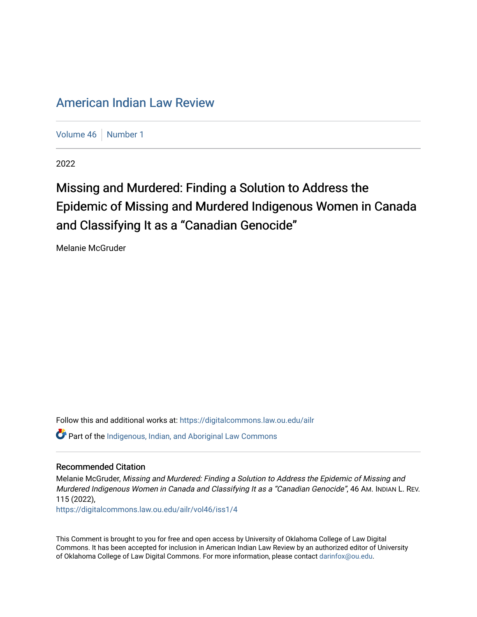## [American Indian Law Review](https://digitalcommons.law.ou.edu/ailr)

[Volume 46](https://digitalcommons.law.ou.edu/ailr/vol46) | [Number 1](https://digitalcommons.law.ou.edu/ailr/vol46/iss1)

2022

# Missing and Murdered: Finding a Solution to Address the Epidemic of Missing and Murdered Indigenous Women in Canada and Classifying It as a "Canadian Genocide"

Melanie McGruder

Follow this and additional works at: [https://digitalcommons.law.ou.edu/ailr](https://digitalcommons.law.ou.edu/ailr?utm_source=digitalcommons.law.ou.edu%2Failr%2Fvol46%2Fiss1%2F4&utm_medium=PDF&utm_campaign=PDFCoverPages) Part of the [Indigenous, Indian, and Aboriginal Law Commons](https://network.bepress.com/hgg/discipline/894?utm_source=digitalcommons.law.ou.edu%2Failr%2Fvol46%2Fiss1%2F4&utm_medium=PDF&utm_campaign=PDFCoverPages) 

#### Recommended Citation

Melanie McGruder, Missing and Murdered: Finding a Solution to Address the Epidemic of Missing and Murdered Indigenous Women in Canada and Classifying It as a "Canadian Genocide", 46 AM. INDIAN L. REV. 115 (2022),

[https://digitalcommons.law.ou.edu/ailr/vol46/iss1/4](https://digitalcommons.law.ou.edu/ailr/vol46/iss1/4?utm_source=digitalcommons.law.ou.edu%2Failr%2Fvol46%2Fiss1%2F4&utm_medium=PDF&utm_campaign=PDFCoverPages)

This Comment is brought to you for free and open access by University of Oklahoma College of Law Digital Commons. It has been accepted for inclusion in American Indian Law Review by an authorized editor of University of Oklahoma College of Law Digital Commons. For more information, please contact [darinfox@ou.edu](mailto:darinfox@ou.edu).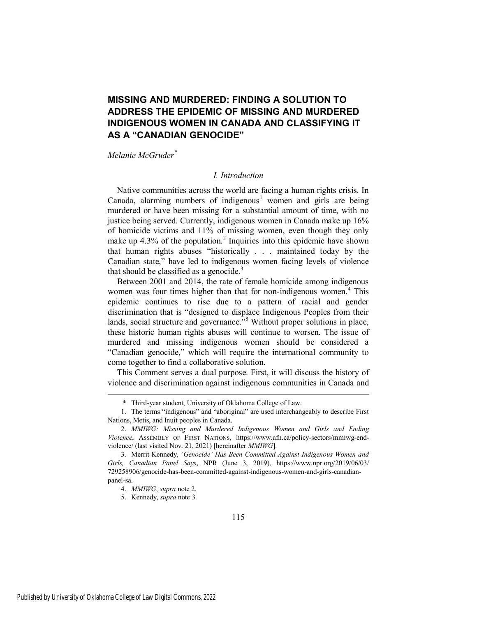### **MISSING AND MURDERED: FINDING A SOLUTION TO ADDRESS THE EPIDEMIC OF MISSING AND MURDERED INDIGENOUS WOMEN IN CANADA AND CLASSIFYING IT AS A "CANADIAN GENOCIDE"**

#### *Melanie McGruder\**

#### *I. Introduction*

Native communities across the world are facing a human rights crisis. In Canada, alarming numbers of indigenous<sup>1</sup> women and girls are being murdered or have been missing for a substantial amount of time, with no justice being served. Currently, indigenous women in Canada make up 16% of homicide victims and 11% of missing women, even though they only make up  $4.3\%$  of the population.<sup>2</sup> Inquiries into this epidemic have shown that human rights abuses "historically . . . maintained today by the Canadian state," have led to indigenous women facing levels of violence that should be classified as a genocide. $3$ 

Between 2001 and 2014, the rate of female homicide among indigenous women was four times higher than that for non-indigenous women.<sup>4</sup> This epidemic continues to rise due to a pattern of racial and gender discrimination that is "designed to displace Indigenous Peoples from their lands, social structure and governance."<sup>5</sup> Without proper solutions in place, these historic human rights abuses will continue to worsen. The issue of murdered and missing indigenous women should be considered a "Canadian genocide," which will require the international community to come together to find a collaborative solution.

This Comment serves a dual purpose. First, it will discuss the history of violence and discrimination against indigenous communities in Canada and

 <sup>\*</sup> Third-year student, University of Oklahoma College of Law.

<sup>1.</sup> The terms "indigenous" and "aboriginal" are used interchangeably to describe First Nations, Metis, and Inuit peoples in Canada.

<sup>2.</sup> *MMIWG: Missing and Murdered Indigenous Women and Girls and Ending Violence*, ASSEMBLY OF FIRST NATIONS, https://www.afn.ca/policy-sectors/mmiwg-endviolence/ (last visited Nov. 21, 2021) [hereinafter *MMIWG*].

<sup>3.</sup> Merrit Kennedy, *'Genocide' Has Been Committed Against Indigenous Women and Girls, Canadian Panel Says*, NPR (June 3, 2019), https://www.npr.org/2019/06/03/ 729258906/genocide-has-been-committed-against-indigenous-women-and-girls-canadianpanel-sa.

<sup>4.</sup> *MMIWG*, *supra* note 2.

<sup>5.</sup> Kennedy, *supra* note 3.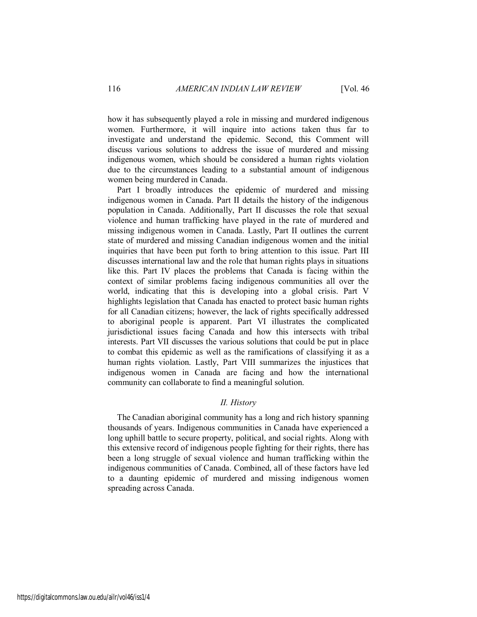how it has subsequently played a role in missing and murdered indigenous women. Furthermore, it will inquire into actions taken thus far to investigate and understand the epidemic. Second, this Comment will discuss various solutions to address the issue of murdered and missing indigenous women, which should be considered a human rights violation due to the circumstances leading to a substantial amount of indigenous women being murdered in Canada.

Part I broadly introduces the epidemic of murdered and missing indigenous women in Canada. Part II details the history of the indigenous population in Canada. Additionally, Part II discusses the role that sexual violence and human trafficking have played in the rate of murdered and missing indigenous women in Canada. Lastly, Part II outlines the current state of murdered and missing Canadian indigenous women and the initial inquiries that have been put forth to bring attention to this issue. Part III discusses international law and the role that human rights plays in situations like this. Part IV places the problems that Canada is facing within the context of similar problems facing indigenous communities all over the world, indicating that this is developing into a global crisis. Part V highlights legislation that Canada has enacted to protect basic human rights for all Canadian citizens; however, the lack of rights specifically addressed to aboriginal people is apparent. Part VI illustrates the complicated jurisdictional issues facing Canada and how this intersects with tribal interests. Part VII discusses the various solutions that could be put in place to combat this epidemic as well as the ramifications of classifying it as a human rights violation. Lastly, Part VIII summarizes the injustices that indigenous women in Canada are facing and how the international community can collaborate to find a meaningful solution.

#### *II. History*

The Canadian aboriginal community has a long and rich history spanning thousands of years. Indigenous communities in Canada have experienced a long uphill battle to secure property, political, and social rights. Along with this extensive record of indigenous people fighting for their rights, there has been a long struggle of sexual violence and human trafficking within the indigenous communities of Canada. Combined, all of these factors have led to a daunting epidemic of murdered and missing indigenous women spreading across Canada.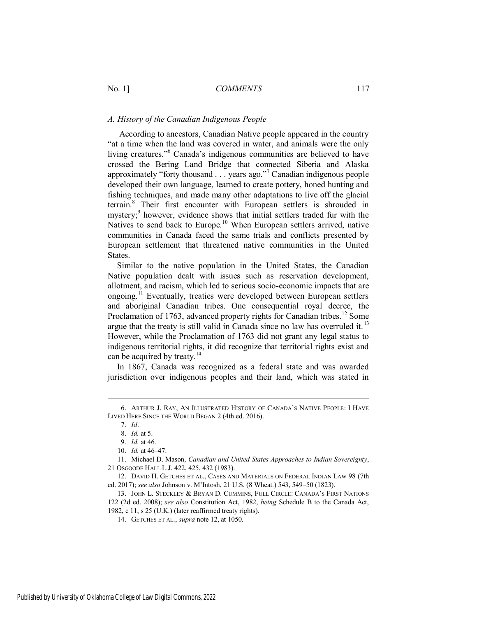#### *A. History of the Canadian Indigenous People*

 According to ancestors, Canadian Native people appeared in the country "at a time when the land was covered in water, and animals were the only living creatures."<sup>6</sup> Canada's indigenous communities are believed to have crossed the Bering Land Bridge that connected Siberia and Alaska approximately "forty thousand . . . years ago."<sup>7</sup> Canadian indigenous people developed their own language, learned to create pottery, honed hunting and fishing techniques, and made many other adaptations to live off the glacial terrain.<sup>8</sup> Their first encounter with European settlers is shrouded in mystery;<sup>9</sup> however, evidence shows that initial settlers traded fur with the Natives to send back to Europe.<sup>10</sup> When European settlers arrived, native communities in Canada faced the same trials and conflicts presented by European settlement that threatened native communities in the United States.

Similar to the native population in the United States, the Canadian Native population dealt with issues such as reservation development, allotment, and racism, which led to serious socio-economic impacts that are ongoing.<sup>11</sup> Eventually, treaties were developed between European settlers and aboriginal Canadian tribes. One consequential royal decree, the Proclamation of 1763, advanced property rights for Canadian tribes.<sup>12</sup> Some argue that the treaty is still valid in Canada since no law has overruled it.<sup>13</sup> However, while the Proclamation of 1763 did not grant any legal status to indigenous territorial rights, it did recognize that territorial rights exist and can be acquired by treaty.<sup>14</sup>

In 1867, Canada was recognized as a federal state and was awarded jurisdiction over indigenous peoples and their land, which was stated in

<sup>6.</sup> ARTHUR J. RAY, AN ILLUSTRATED HISTORY OF CANADA'S NATIVE PEOPLE: I HAVE LIVED HERE SINCE THE WORLD BEGAN 2 (4th ed. 2016).

<sup>7.</sup> *Id*.

<sup>8.</sup> *Id.* at 5.

<sup>9.</sup> *Id.* at 46.

<sup>10.</sup> *Id.* at 46–47.

<sup>11.</sup> Michael D. Mason, *Canadian and United States Approaches to Indian Sovereignty*, 21 OSGOODE HALL L.J. 422, 425, 432 (1983).

<sup>12.</sup> DAVID H. GETCHES ET AL., CASES AND MATERIALS ON FEDERAL INDIAN LAW 98 (7th ed. 2017); *see also* Johnson v. M'Intosh, 21 U.S. (8 Wheat.) 543, 549–50 (1823).

<sup>13.</sup> JOHN L. STECKLEY & BRYAN D. CUMMINS, FULL CIRCLE: CANADA'S FIRST NATIONS 122 (2d ed. 2008); *see also* Constitution Act, 1982, *being* Schedule B to the Canada Act, 1982, c 11, s 25 (U.K.) (later reaffirmed treaty rights).

<sup>14.</sup> GETCHES ET AL., *supra* note 12, at 1050.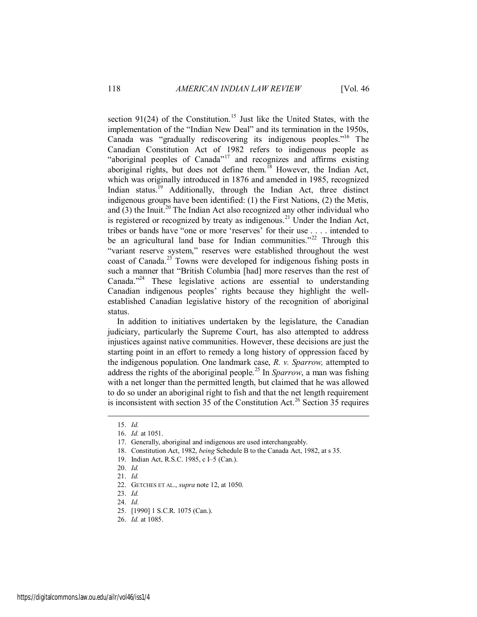section 91(24) of the Constitution.<sup>15</sup> Just like the United States, with the implementation of the "Indian New Deal" and its termination in the 1950s, Canada was "gradually rediscovering its indigenous peoples."<sup>16</sup> The Canadian Constitution Act of 1982 refers to indigenous people as "aboriginal peoples of Canada"<sup>17</sup> and recognizes and affirms existing aboriginal rights, but does not define them.<sup>18</sup> However, the Indian Act, which was originally introduced in 1876 and amended in 1985, recognized Indian status.<sup>19</sup> Additionally, through the Indian Act, three distinct indigenous groups have been identified: (1) the First Nations, (2) the Metis, and  $(3)$  the Inuit.<sup>20</sup> The Indian Act also recognized any other individual who is registered or recognized by treaty as indigenous.<sup>21</sup> Under the Indian Act, tribes or bands have "one or more 'reserves' for their use . . . . intended to be an agricultural land base for Indian communities."<sup>22</sup> Through this "variant reserve system," reserves were established throughout the west coast of Canada.<sup>23</sup> Towns were developed for indigenous fishing posts in such a manner that "British Columbia [had] more reserves than the rest of Canada."<sup>24</sup> These legislative actions are essential to understanding Canadian indigenous peoples' rights because they highlight the wellestablished Canadian legislative history of the recognition of aboriginal status.

In addition to initiatives undertaken by the legislature, the Canadian judiciary, particularly the Supreme Court, has also attempted to address injustices against native communities. However, these decisions are just the starting point in an effort to remedy a long history of oppression faced by the indigenous population. One landmark case, *R. v. Sparrow,* attempted to address the rights of the aboriginal people.<sup>25</sup> In *Sparrow*, a man was fishing with a net longer than the permitted length, but claimed that he was allowed to do so under an aboriginal right to fish and that the net length requirement is inconsistent with section 35 of the Constitution Act.<sup>26</sup> Section 35 requires

<sup>15.</sup> *Id.*

<sup>16.</sup> *Id.* at 1051.

<sup>17.</sup> Generally, aboriginal and indigenous are used interchangeably.

<sup>18.</sup> Constitution Act, 1982, *being* Schedule B to the Canada Act, 1982, at s 35.

<sup>19.</sup> Indian Act, R.S.C. 1985, c I–5 (Can.).

<sup>20.</sup> *Id.*

<sup>21.</sup> *Id.* 

<sup>22.</sup> GETCHES ET AL., *supra* note 12, at 1050.

<sup>23.</sup> *Id.*

<sup>24.</sup> *Id.*

<sup>25. [1990] 1</sup> S.C.R. 1075 (Can.).

<sup>26.</sup> *Id.* at 1085.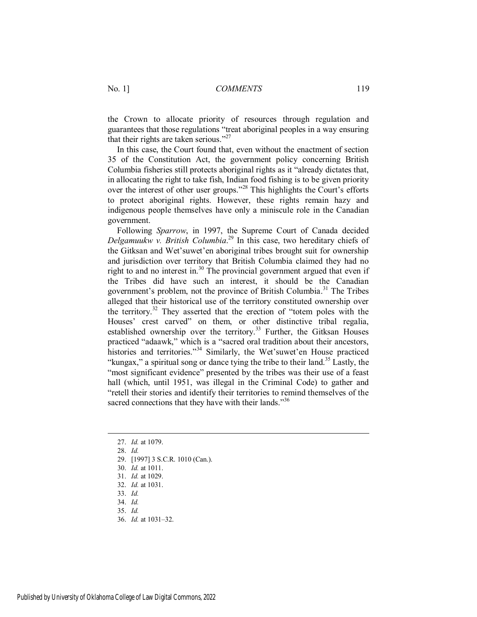the Crown to allocate priority of resources through regulation and guarantees that those regulations "treat aboriginal peoples in a way ensuring that their rights are taken serious."<sup>27</sup>

In this case, the Court found that, even without the enactment of section 35 of the Constitution Act, the government policy concerning British Columbia fisheries still protects aboriginal rights as it "already dictates that, in allocating the right to take fish, Indian food fishing is to be given priority over the interest of other user groups."<sup>28</sup> This highlights the Court's efforts to protect aboriginal rights. However, these rights remain hazy and indigenous people themselves have only a miniscule role in the Canadian government.

Following *Sparrow*, in 1997, the Supreme Court of Canada decided *Delgamuukw v. British Columbia*. <sup>29</sup> In this case, two hereditary chiefs of the Gitksan and Wet'suwet'en aboriginal tribes brought suit for ownership and jurisdiction over territory that British Columbia claimed they had no right to and no interest in.<sup>30</sup> The provincial government argued that even if the Tribes did have such an interest, it should be the Canadian government's problem, not the province of British Columbia. <sup>31</sup> The Tribes alleged that their historical use of the territory constituted ownership over the territory.<sup>32</sup> They asserted that the erection of "totem poles with the Houses' crest carved" on them, or other distinctive tribal regalia, established ownership over the territory.<sup>33</sup> Further, the Gitksan Houses practiced "adaawk," which is a "sacred oral tradition about their ancestors, histories and territories."<sup>34</sup> Similarly, the Wet'suwet'en House practiced "kungax," a spiritual song or dance tying the tribe to their land.<sup>35</sup> Lastly, the "most significant evidence" presented by the tribes was their use of a feast hall (which, until 1951, was illegal in the Criminal Code) to gather and "retell their stories and identify their territories to remind themselves of the sacred connections that they have with their lands." $36$ 

- 27. *Id.* at 1079.
- 28. *Id.*

- 29. [1997] 3 S.C.R. 1010 (Can.).
- 30. *Id.* at 1011.
- 31. *Id.* at 1029.
- 32. *Id.* at 1031.
- 33. *Id.*
- 34. *Id.*
- 35. *Id.*
- 36. *Id.* at 1031–32.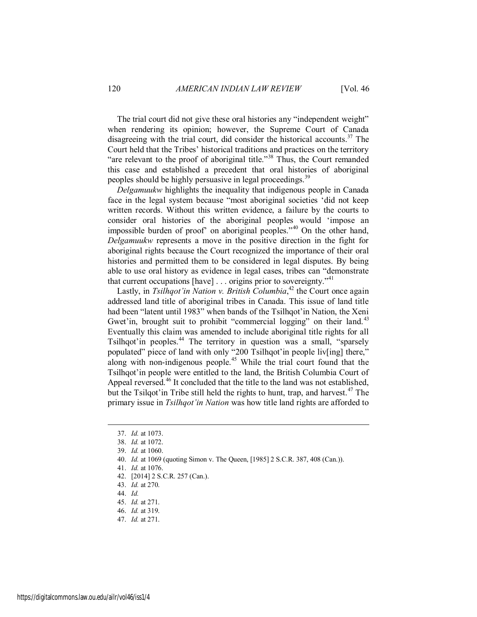The trial court did not give these oral histories any "independent weight" when rendering its opinion; however, the Supreme Court of Canada disagreeing with the trial court, did consider the historical accounts.<sup>37</sup> The Court held that the Tribes' historical traditions and practices on the territory "are relevant to the proof of aboriginal title."<sup>38</sup> Thus, the Court remanded this case and established a precedent that oral histories of aboriginal peoples should be highly persuasive in legal proceedings.<sup>39</sup>

*Delgamuukw* highlights the inequality that indigenous people in Canada face in the legal system because "most aboriginal societies 'did not keep written records. Without this written evidence, a failure by the courts to consider oral histories of the aboriginal peoples would 'impose an impossible burden of proof' on aboriginal peoples."<sup>40</sup> On the other hand, *Delgamuukw* represents a move in the positive direction in the fight for aboriginal rights because the Court recognized the importance of their oral histories and permitted them to be considered in legal disputes. By being able to use oral history as evidence in legal cases, tribes can "demonstrate that current occupations [have]  $\dots$  origins prior to sovereignty."<sup>41</sup>

Lastly, in *Tsilhqot'in Nation v. British Columbia*<sup>42</sup> the Court once again addressed land title of aboriginal tribes in Canada. This issue of land title had been "latent until 1983" when bands of the Tsilhqot'in Nation, the Xeni Gwet'in, brought suit to prohibit "commercial logging" on their land.<sup>43</sup> Eventually this claim was amended to include aboriginal title rights for all Tsilhqot'in peoples.<sup>44</sup> The territory in question was a small, "sparsely populated" piece of land with only "200 Tsilhqot'in people liv[ing] there," along with non-indigenous people.<sup>45</sup> While the trial court found that the Tsilhqot'in people were entitled to the land, the British Columbia Court of Appeal reversed.<sup>46</sup> It concluded that the title to the land was not established, but the Tsilqot' in Tribe still held the rights to hunt, trap, and harvest.<sup>47</sup> The primary issue in *Tsilhqot'in Nation* was how title land rights are afforded to

- 42. [2014] 2 S.C.R. 257 (Can.).
- 43. *Id.* at 270.
- 44. *Id.*
- 45. *Id.* at 271.
- 46. *Id.* at 319.
- 47. *Id.* at 271.

<sup>37.</sup> *Id.* at 1073.

<sup>38.</sup> *Id.* at 1072.

<sup>39.</sup> *Id.* at 1060.

<sup>40.</sup> *Id.* at 1069 (quoting Simon v. The Queen, [1985] 2 S.C.R. 387, 408 (Can.)).

<sup>41.</sup> *Id.* at 1076.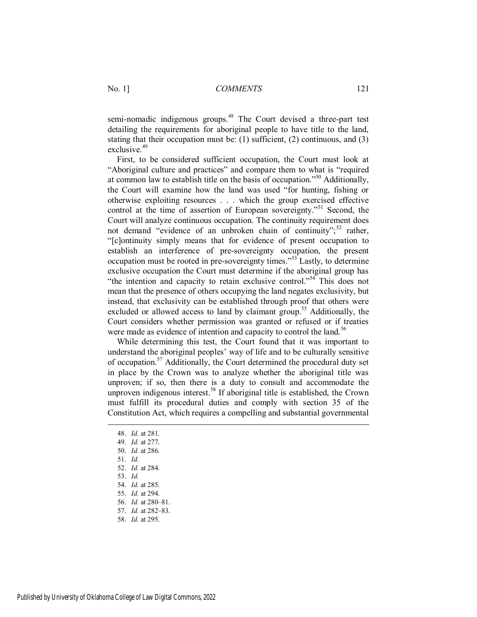semi-nomadic indigenous groups.<sup>48</sup> The Court devised a three-part test detailing the requirements for aboriginal people to have title to the land, stating that their occupation must be: (1) sufficient, (2) continuous, and (3) exclusive.<sup>49</sup>

First, to be considered sufficient occupation, the Court must look at "Aboriginal culture and practices" and compare them to what is "required at common law to establish title on the basis of occupation."<sup>50</sup> Additionally, the Court will examine how the land was used "for hunting, fishing or otherwise exploiting resources . . . which the group exercised effective control at the time of assertion of European sovereignty."<sup>51</sup> Second, the Court will analyze continuous occupation. The continuity requirement does not demand "evidence of an unbroken chain of continuity";<sup>52</sup> rather, "[c]ontinuity simply means that for evidence of present occupation to establish an interference of pre-sovereignty occupation, the present occupation must be rooted in pre-sovereignty times.<sup> $553$ </sup> Lastly, to determine exclusive occupation the Court must determine if the aboriginal group has "the intention and capacity to retain exclusive control."<sup>54</sup> This does not mean that the presence of others occupying the land negates exclusivity, but instead, that exclusivity can be established through proof that others were excluded or allowed access to land by claimant group.<sup>55</sup> Additionally, the Court considers whether permission was granted or refused or if treaties were made as evidence of intention and capacity to control the land.<sup>56</sup>

While determining this test, the Court found that it was important to understand the aboriginal peoples' way of life and to be culturally sensitive of occupation.<sup>57</sup> Additionally, the Court determined the procedural duty set in place by the Crown was to analyze whether the aboriginal title was unproven; if so, then there is a duty to consult and accommodate the unproven indigenous interest.<sup>58</sup> If aboriginal title is established, the Crown must fulfill its procedural duties and comply with section 35 of the Constitution Act, which requires a compelling and substantial governmental

- 48. *Id.* at 281.
- 49. *Id.* at 277.

- 50. *Id.* at 286.
- 51. *Id.*
- 52. *Id.* at 284.
- 53. *Id.*
- 54. *Id.* at 285.
- 55. *Id.* at 294.
- 56. *Id.* at 280–81. 57. *Id.* at 282–83.
- 58. *Id.* at 295.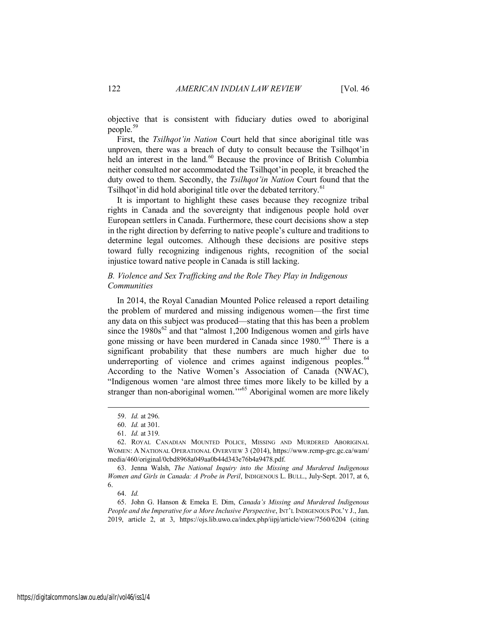objective that is consistent with fiduciary duties owed to aboriginal people.<sup>59</sup>

First, the *Tsilhqot'in Nation* Court held that since aboriginal title was unproven, there was a breach of duty to consult because the Tsilhqot'in held an interest in the land.<sup>60</sup> Because the province of British Columbia neither consulted nor accommodated the Tsilhqot'in people, it breached the duty owed to them. Secondly, the *Tsilhqot'in Nation* Court found that the Tsilhqot'in did hold aboriginal title over the debated territory.<sup>61</sup>

It is important to highlight these cases because they recognize tribal rights in Canada and the sovereignty that indigenous people hold over European settlers in Canada. Furthermore, these court decisions show a step in the right direction by deferring to native people's culture and traditions to determine legal outcomes. Although these decisions are positive steps toward fully recognizing indigenous rights, recognition of the social injustice toward native people in Canada is still lacking.

#### *B. Violence and Sex Trafficking and the Role They Play in Indigenous Communities*

In 2014, the Royal Canadian Mounted Police released a report detailing the problem of murdered and missing indigenous women—the first time any data on this subject was produced—stating that this has been a problem since the  $1980s^{62}$  and that "almost 1,200 Indigenous women and girls have gone missing or have been murdered in Canada since 1980."<sup>63</sup> There is a significant probability that these numbers are much higher due to underreporting of violence and crimes against indigenous peoples.<sup>64</sup> According to the Native Women's Association of Canada (NWAC), "Indigenous women 'are almost three times more likely to be killed by a stranger than non-aboriginal women."<sup>65</sup> Aboriginal women are more likely

 $\overline{a}$ 

64. *Id.*

65. John G. Hanson & Emeka E. Dim, *Canada's Missing and Murdered Indigenous*  People and the Imperative for a More Inclusive Perspective, INT'L INDIGENOUS POL'Y J., Jan. 2019, article 2, at 3, https://ojs.lib.uwo.ca/index.php/iipj/article/view/7560/6204 (citing

<sup>59.</sup> *Id.* at 296.

<sup>60.</sup> *Id.* at 301.

<sup>61.</sup> *Id.* at 319.

<sup>62.</sup> ROYAL CANADIAN MOUNTED POLICE, MISSING AND MURDERED ABORIGINAL WOMEN: A NATIONAL OPERATIONAL OVERVIEW 3 (2014), https://www.rcmp-grc.gc.ca/wam/ media/460/original/0cbd8968a049aa0b44d343e76b4a9478.pdf.

<sup>63.</sup> Jenna Walsh, *The National Inquiry into the Missing and Murdered Indigenous Women and Girls in Canada: A Probe in Peril*, INDIGENOUS L. BULL., July-Sept. 2017, at 6, 6.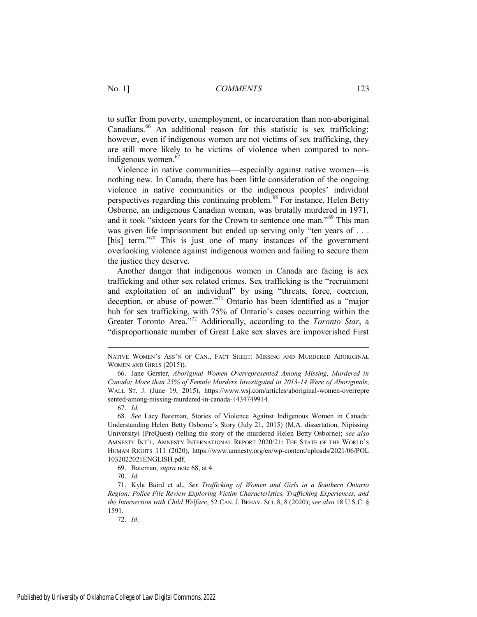to suffer from poverty, unemployment, or incarceration than non-aboriginal Canadians.<sup>66</sup> An additional reason for this statistic is sex trafficking; however, even if indigenous women are not victims of sex trafficking, they are still more likely to be victims of violence when compared to nonindigenous women.<sup>67</sup>

Violence in native communities—especially against native women—is nothing new. In Canada, there has been little consideration of the ongoing violence in native communities or the indigenous peoples' individual perspectives regarding this continuing problem.<sup>68</sup> For instance, Helen Betty Osborne, an indigenous Canadian woman, was brutally murdered in 1971, and it took "sixteen years for the Crown to sentence one man."<sup>69</sup> This man was given life imprisonment but ended up serving only "ten years of . . . [his] term. $10^{70}$  This is just one of many instances of the government overlooking violence against indigenous women and failing to secure them the justice they deserve.

Another danger that indigenous women in Canada are facing is sex trafficking and other sex related crimes. Sex trafficking is the "recruitment and exploitation of an individual" by using "threats, force, coercion, deception, or abuse of power."<sup>71</sup> Ontario has been identified as a "major" hub for sex trafficking, with 75% of Ontario's cases occurring within the Greater Toronto Area."<sup>72</sup> Additionally, according to the *Toronto Star*, a "disproportionate number of Great Lake sex slaves are impoverished First

67. *Id.*

 $\overline{a}$ 

NATIVE WOMEN'S ASS'N OF CAN., FACT SHEET: MISSING AND MURDERED ABORIGINAL WOMEN AND GIRLS (2015)).

<sup>66.</sup> Jane Gerster, *Aboriginal Women Overrepresented Among Missing, Murdered in Canada; More than 25% of Female Murders Investigated in 2013-14 Were of Aboriginals*, WALL ST. J. (June 19, 2015), https://www.wsj.com/articles/aboriginal-women-overrepre sented-among-missing-murdered-in-canada-1434749914.

<sup>68.</sup> *See* Lacy Bateman, Stories of Violence Against Indigenous Women in Canada: Understanding Helen Betty Osborne's Story (July 21, 2015) (M.A. dissertation, Nipissing University) (ProQuest) (telling the story of the murdered Helen Betty Osborne); *see also* AMNESTY INT'L, AMNESTY INTERNATIONAL REPORT 2020/21: THE STATE OF THE WORLD'S HUMAN RIGHTS 111 (2020), https://www.amnesty.org/en/wp-content/uploads/2021/06/POL 1032022021ENGLISH.pdf.

<sup>69.</sup> Bateman, *supra* note 68, at 4.

<sup>70.</sup> *Id.*

<sup>71.</sup> Kyla Baird et al., *Sex Trafficking of Women and Girls in a Southern Ontario Region: Police File Review Exploring Victim Characteristics, Trafficking Experiences, and the Intersection with Child Welfare*, 52 CAN. J. BEHAV. SCI. 8, 8 (2020); *see also* 18 U.S.C. § 1591.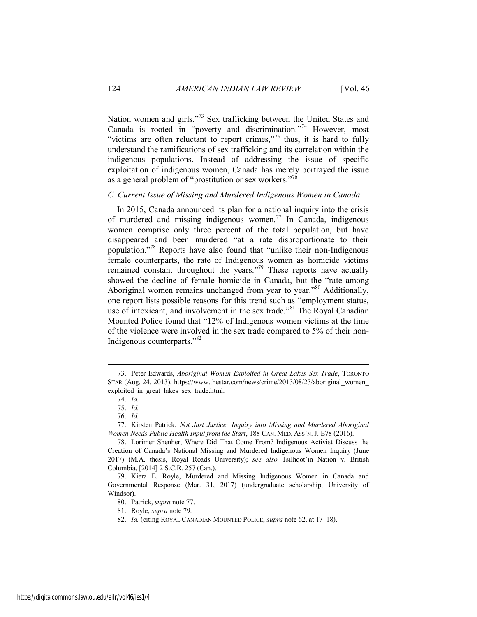Nation women and girls."<sup>73</sup> Sex trafficking between the United States and Canada is rooted in "poverty and discrimination."<sup>74</sup> However, most "victims are often reluctant to report crimes,"<sup>75</sup> thus, it is hard to fully understand the ramifications of sex trafficking and its correlation within the indigenous populations. Instead of addressing the issue of specific exploitation of indigenous women, Canada has merely portrayed the issue as a general problem of "prostitution or sex workers."<sup>76</sup>

#### *C. Current Issue of Missing and Murdered Indigenous Women in Canada*

In 2015, Canada announced its plan for a national inquiry into the crisis of murdered and missing indigenous women.<sup>77</sup> In Canada, indigenous women comprise only three percent of the total population, but have disappeared and been murdered "at a rate disproportionate to their population." <sup>78</sup> Reports have also found that "unlike their non-Indigenous female counterparts, the rate of Indigenous women as homicide victims remained constant throughout the years."<sup>79</sup> These reports have actually showed the decline of female homicide in Canada, but the "rate among Aboriginal women remains unchanged from year to year."<sup>80</sup> Additionally, one report lists possible reasons for this trend such as "employment status, use of intoxicant, and involvement in the sex trade.<sup>881</sup> The Royal Canadian Mounted Police found that "12% of Indigenous women victims at the time of the violence were involved in the sex trade compared to 5% of their non-Indigenous counterparts."<sup>82</sup>

<sup>73.</sup> Peter Edwards, *Aboriginal Women Exploited in Great Lakes Sex Trade*, TORONTO STAR (Aug. 24, 2013), https://www.thestar.com/news/crime/2013/08/23/aboriginal\_women\_ exploited in great lakes sex trade.html.

<sup>74.</sup> *Id.*

<sup>75.</sup> *Id.*

<sup>76.</sup> *Id.*

<sup>77.</sup> Kirsten Patrick, *Not Just Justice: Inquiry into Missing and Murdered Aboriginal Women Needs Public Health Input from the Start*, 188 CAN. MED. ASS'N. J. E78 (2016).

<sup>78.</sup> Lorimer Shenher, Where Did That Come From? Indigenous Activist Discuss the Creation of Canada's National Missing and Murdered Indigenous Women Inquiry (June 2017) (M.A. thesis, Royal Roads University); *see also* Tsilhqot'in Nation v. British Columbia, [2014] 2 S.C.R. 257 (Can.).

<sup>79.</sup> Kiera E. Royle, Murdered and Missing Indigenous Women in Canada and Governmental Response (Mar. 31, 2017) (undergraduate scholarship, University of Windsor).

<sup>80.</sup> Patrick, *supra* note 77.

<sup>81.</sup> Royle, *supra* note 79.

<sup>82.</sup> *Id.* (citing ROYAL CANADIAN MOUNTED POLICE, *supra* note 62, at 17–18).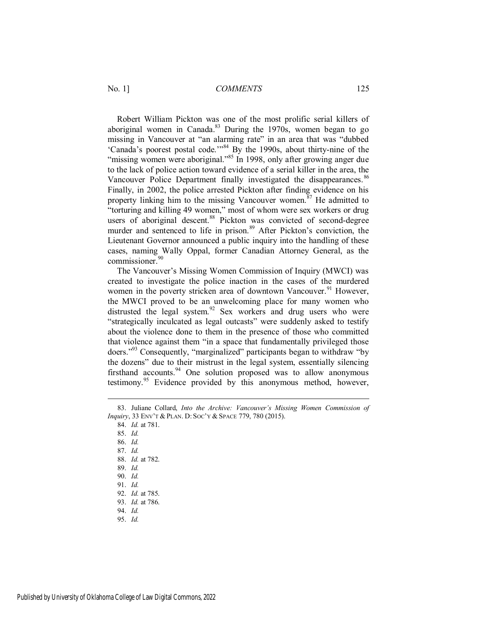Robert William Pickton was one of the most prolific serial killers of aboriginal women in Canada. $83$  During the 1970s, women began to go missing in Vancouver at "an alarming rate" in an area that was "dubbed 'Canada's poorest postal code.'"<sup>84</sup> By the 1990s, about thirty-nine of the "missing women were aboriginal."<sup>85</sup> In 1998, only after growing anger due to the lack of police action toward evidence of a serial killer in the area, the Vancouver Police Department finally investigated the disappearances.<sup>86</sup> Finally, in 2002, the police arrested Pickton after finding evidence on his property linking him to the missing Vancouver women.<sup>87</sup> He admitted to "torturing and killing 49 women," most of whom were sex workers or drug users of aboriginal descent. $88$  Pickton was convicted of second-degree murder and sentenced to life in prison.<sup>89</sup> After Pickton's conviction, the Lieutenant Governor announced a public inquiry into the handling of these cases, naming Wally Oppal, former Canadian Attorney General, as the commissioner.<sup>90</sup>

The Vancouver's Missing Women Commission of Inquiry (MWCI) was created to investigate the police inaction in the cases of the murdered women in the poverty stricken area of downtown Vancouver.<sup>91</sup> However, the MWCI proved to be an unwelcoming place for many women who distrusted the legal system.<sup>92</sup> Sex workers and drug users who were "strategically inculcated as legal outcasts" were suddenly asked to testify about the violence done to them in the presence of those who committed that violence against them "in a space that fundamentally privileged those doers."<sup>93</sup> Consequently, "marginalized" participants began to withdraw "by the dozens" due to their mistrust in the legal system, essentially silencing firsthand accounts.<sup>94</sup> One solution proposed was to allow anonymous testimony.<sup>95</sup> Evidence provided by this anonymous method, however,

<sup>83.</sup> Juliane Collard, *Into the Archive: Vancouver's Missing Women Commission of Inquiry*, 33 ENV'T & PLAN. D: SOC'Y & SPACE 779, 780 (2015).

<sup>84.</sup> *Id.* at 781.

<sup>85.</sup> *Id.*

<sup>86.</sup> *Id.*

<sup>87.</sup> *Id.*

<sup>88.</sup> *Id.* at 782.

<sup>89.</sup> *Id.*

<sup>90.</sup> *Id.* 91. *Id.*

<sup>92.</sup> *Id.* at 785.

<sup>93.</sup> *Id.* at 786.

<sup>94.</sup> *Id.*

<sup>95.</sup> *Id.*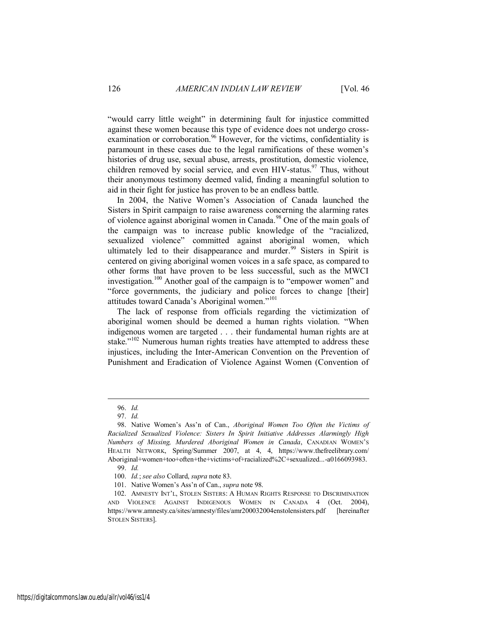"would carry little weight" in determining fault for injustice committed against these women because this type of evidence does not undergo crossexamination or corroboration.<sup>96</sup> However, for the victims, confidentiality is paramount in these cases due to the legal ramifications of these women's histories of drug use, sexual abuse, arrests, prostitution, domestic violence, children removed by social service, and even HIV-status.<sup>97</sup> Thus, without their anonymous testimony deemed valid, finding a meaningful solution to aid in their fight for justice has proven to be an endless battle.

In 2004, the Native Women's Association of Canada launched the Sisters in Spirit campaign to raise awareness concerning the alarming rates of violence against aboriginal women in Canada.<sup>98</sup> One of the main goals of the campaign was to increase public knowledge of the "racialized, sexualized violence" committed against aboriginal women, which ultimately led to their disappearance and murder.<sup>99</sup> Sisters in Spirit is centered on giving aboriginal women voices in a safe space, as compared to other forms that have proven to be less successful, such as the MWCI investigation.<sup>100</sup> Another goal of the campaign is to "empower women" and "force governments, the judiciary and police forces to change [their] attitudes toward Canada's Aboriginal women."<sup>101</sup>

The lack of response from officials regarding the victimization of aboriginal women should be deemed a human rights violation. "When indigenous women are targeted . . . their fundamental human rights are at stake."<sup>102</sup> Numerous human rights treaties have attempted to address these injustices, including the Inter-American Convention on the Prevention of Punishment and Eradication of Violence Against Women (Convention of

<sup>96.</sup> *Id.*

<sup>97.</sup> *Id.*

<sup>98.</sup> Native Women's Ass'n of Can., *Aboriginal Women Too Often the Victims of Racialized Sexualized Violence: Sisters In Spirit Initiative Addresses Alarmingly High Numbers of Missing, Murdered Aboriginal Women in Canada*, CANADIAN WOMEN'S HEALTH NETWORK, Spring/Summer 2007, at 4, 4, https://www.thefreelibrary.com/ Aboriginal+women+too+often+the+victims+of+racialized%2C+sexualized...-a0166093983. 99. *Id.*

<sup>100.</sup> *Id.*; *see also* Collard, *supra* note 83.

<sup>101.</sup> Native Women's Ass'n of Can., *supra* note 98.

<sup>102.</sup> AMNESTY INT'L, STOLEN SISTERS: A HUMAN RIGHTS RESPONSE TO DISCRIMINATION AND VIOLENCE AGAINST INDIGENOUS WOMEN IN CANADA 4 (Oct. 2004), https://www.amnesty.ca/sites/amnesty/files/amr200032004enstolensisters.pdf [hereinafter STOLEN SISTERS].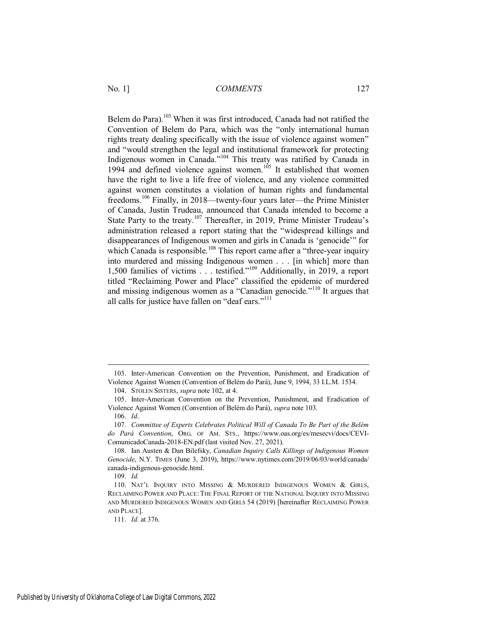Belem do Para).<sup>103</sup> When it was first introduced, Canada had not ratified the Convention of Belem do Para, which was the "only international human rights treaty dealing specifically with the issue of violence against women" and "would strengthen the legal and institutional framework for protecting Indigenous women in Canada."<sup>104</sup> This treaty was ratified by Canada in 1994 and defined violence against women.<sup>105</sup> It established that women have the right to live a life free of violence, and any violence committed against women constitutes a violation of human rights and fundamental freedoms.<sup>106</sup> Finally, in 2018—twenty-four years later—the Prime Minister of Canada, Justin Trudeau, announced that Canada intended to become a State Party to the treaty.<sup>107</sup> Thereafter, in 2019, Prime Minister Trudeau's administration released a report stating that the "widespread killings and disappearances of Indigenous women and girls in Canada is 'genocide'" for which Canada is responsible.<sup>108</sup> This report came after a "three-year inquiry into murdered and missing Indigenous women . . . [in which] more than 1,500 families of victims . . . testified."<sup>109</sup> Additionally, in 2019, a report titled "Reclaiming Power and Place" classified the epidemic of murdered and missing indigenous women as a "Canadian genocide."<sup>110</sup> It argues that all calls for justice have fallen on "deaf ears."<sup>111</sup>

<sup>103.</sup> Inter-American Convention on the Prevention, Punishment, and Eradication of Violence Against Women (Convention of Belém do Pará), June 9, 1994, 33 I.L.M. 1534.

<sup>104.</sup> STOLEN SISTERS, *supra* note 102, at 4.

<sup>105.</sup> Inter-American Convention on the Prevention, Punishment, and Eradication of Violence Against Women (Convention of Belém do Pará), *supra* note 103.

<sup>106.</sup> *Id*.

<sup>107.</sup> *Committee of Experts Celebrates Political Will of Canada To Be Part of the Belém do Pará Convention*, ORG. OF AM. STS., https://www.oas.org/es/mesecvi/docs/CEVI-ComunicadoCanada-2018-EN.pdf (last visited Nov. 27, 2021).

<sup>108.</sup> Ian Austen & Dan Bilefsky, *Canadian Inquiry Calls Killings of Indigenous Women Genocide*, N.Y. TIMES (June 3, 2019), https://www.nytimes.com/2019/06/03/world/canada/ canada-indigenous-genocide.html.

<sup>109.</sup> *Id.*

<sup>110.</sup> NAT'L INQUIRY INTO MISSING & MURDERED INDIGENOUS WOMEN & GIRLS, RECLAIMING POWER AND PLACE:THE FINAL REPORT OF THE NATIONAL INQUIRY INTO MISSING AND MURDERED INDIGENOUS WOMEN AND GIRLS 54 (2019) [hereinafter RECLAIMING POWER AND PLACE].

<sup>111.</sup> *Id.* at 376.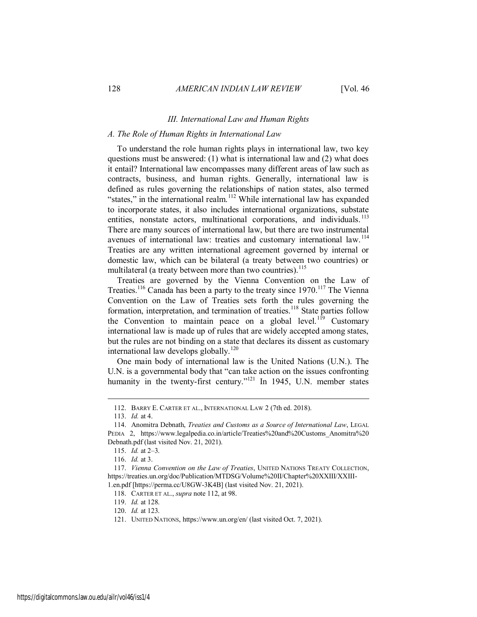#### *III. International Law and Human Rights*

#### *A. The Role of Human Rights in International Law*

To understand the role human rights plays in international law, two key questions must be answered: (1) what is international law and (2) what does it entail? International law encompasses many different areas of law such as contracts, business, and human rights. Generally, international law is defined as rules governing the relationships of nation states, also termed "states," in the international realm.<sup>112</sup> While international law has expanded to incorporate states, it also includes international organizations, substate entities, nonstate actors, multinational corporations, and individuals.<sup>113</sup> There are many sources of international law, but there are two instrumental avenues of international law: treaties and customary international law.<sup>114</sup> Treaties are any written international agreement governed by internal or domestic law, which can be bilateral (a treaty between two countries) or multilateral (a treaty between more than two countries).<sup>115</sup>

Treaties are governed by the Vienna Convention on the Law of Treaties.<sup>116</sup> Canada has been a party to the treaty since 1970.<sup>117</sup> The Vienna Convention on the Law of Treaties sets forth the rules governing the formation, interpretation, and termination of treaties.<sup>118</sup> State parties follow the Convention to maintain peace on a global level.<sup>119</sup> Customary international law is made up of rules that are widely accepted among states, but the rules are not binding on a state that declares its dissent as customary international law develops globally.<sup>120</sup>

One main body of international law is the United Nations (U.N.). The U.N. is a governmental body that "can take action on the issues confronting humanity in the twenty-first century."<sup>121</sup> In 1945, U.N. member states

<sup>112.</sup> BARRY E. CARTER ET AL., INTERNATIONAL LAW 2 (7th ed. 2018).

<sup>113.</sup> *Id.* at 4.

<sup>114.</sup> Anomitra Debnath, *Treaties and Customs as a Source of International Law*, LEGAL PEDIA 2, https://www.legalpedia.co.in/article/Treaties%20and%20Customs\_Anomitra%20 Debnath.pdf (last visited Nov. 21, 2021).

<sup>115.</sup> *Id.* at 2–3.

<sup>116.</sup> *Id.* at 3.

<sup>117.</sup> *Vienna Convention on the Law of Treaties*, UNITED NATIONS TREATY COLLECTION, https://treaties.un.org/doc/Publication/MTDSG/Volume%20II/Chapter%20XXIII/XXIII-1.en.pdf [https://perma.cc/U8GW-3K4B] (last visited Nov. 21, 2021).

<sup>118.</sup> CARTER ET AL., *supra* note 112, at 98.

<sup>119.</sup> *Id.* at 128.

<sup>120.</sup> *Id.* at 123.

<sup>121.</sup> UNITED NATIONS, https://www.un.org/en/ (last visited Oct. 7, 2021).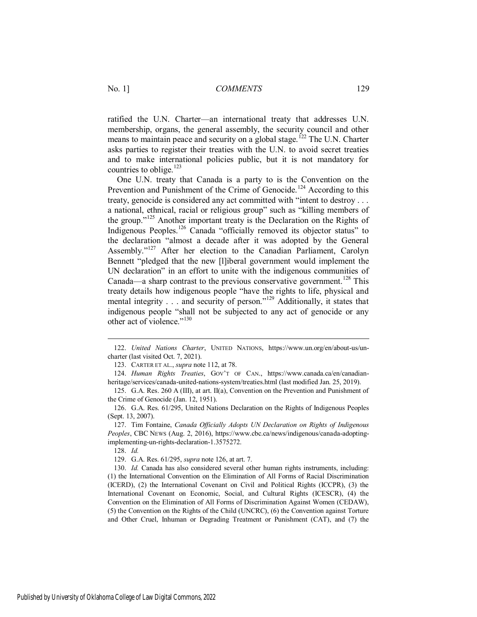ratified the U.N. Charter—an international treaty that addresses U.N. membership, organs, the general assembly, the security council and other means to maintain peace and security on a global stage.<sup>122</sup> The U.N. Charter asks parties to register their treaties with the U.N. to avoid secret treaties and to make international policies public, but it is not mandatory for countries to oblige.<sup>123</sup>

One U.N. treaty that Canada is a party to is the Convention on the Prevention and Punishment of the Crime of Genocide.<sup>124</sup> According to this treaty, genocide is considered any act committed with "intent to destroy . . . a national, ethnical, racial or religious group" such as "killing members of the group."<sup>125</sup> Another important treaty is the Declaration on the Rights of Indigenous Peoples.<sup>126</sup> Canada "officially removed its objector status" to the declaration "almost a decade after it was adopted by the General Assembly."<sup>127</sup> After her election to the Canadian Parliament, Carolyn Bennett "pledged that the new [l]iberal government would implement the UN declaration" in an effort to unite with the indigenous communities of Canada—a sharp contrast to the previous conservative government.<sup>128</sup> This treaty details how indigenous people "have the rights to life, physical and mental integrity . . . and security of person."<sup>129</sup> Additionally, it states that indigenous people "shall not be subjected to any act of genocide or any other act of violence."<sup>130</sup>

123. CARTER ET AL., *supra* note 112, at 78.

128. *Id.*

<sup>122.</sup> *United Nations Charter*, UNITED NATIONS, https://www.un.org/en/about-us/uncharter (last visited Oct. 7, 2021).

<sup>124.</sup> *Human Rights Treaties*, GOV'T OF CAN., https://www.canada.ca/en/canadianheritage/services/canada-united-nations-system/treaties.html (last modified Jan. 25, 2019).

<sup>125.</sup> G.A. Res. 260 A (III), at art. II(a), Convention on the Prevention and Punishment of the Crime of Genocide (Jan. 12, 1951).

<sup>126.</sup> G.A. Res. 61/295, United Nations Declaration on the Rights of Indigenous Peoples (Sept. 13, 2007).

<sup>127.</sup> Tim Fontaine, *Canada Officially Adopts UN Declaration on Rights of Indigenous Peoples*, CBC NEWS (Aug. 2, 2016), https://www.cbc.ca/news/indigenous/canada-adoptingimplementing-un-rights-declaration-1.3575272.

<sup>129.</sup> G.A. Res. 61/295, *supra* note 126, at art. 7.

<sup>130.</sup> *Id.* Canada has also considered several other human rights instruments, including: (1) the International Convention on the Elimination of All Forms of Racial Discrimination (ICERD), (2) the International Covenant on Civil and Political Rights (ICCPR), (3) the International Covenant on Economic, Social, and Cultural Rights (ICESCR), (4) the Convention on the Elimination of All Forms of Discrimination Against Women (CEDAW), (5) the Convention on the Rights of the Child (UNCRC), (6) the Convention against Torture and Other Cruel, Inhuman or Degrading Treatment or Punishment (CAT), and (7) the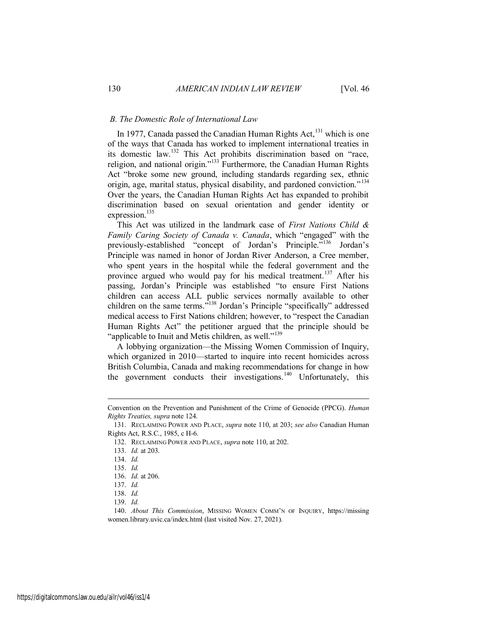#### *B. The Domestic Role of International Law*

In 1977, Canada passed the Canadian Human Rights Act, $^{131}$  which is one of the ways that Canada has worked to implement international treaties in its domestic law.<sup>132</sup> This Act prohibits discrimination based on "race, religion, and national origin."<sup>133</sup> Furthermore, the Canadian Human Rights Act "broke some new ground, including standards regarding sex, ethnic origin, age, marital status, physical disability, and pardoned conviction."<sup>134</sup> Over the years, the Canadian Human Rights Act has expanded to prohibit discrimination based on sexual orientation and gender identity or expression.<sup>135</sup>

This Act was utilized in the landmark case of *First Nations Child & Family Caring Society of Canada v. Canada*, which "engaged" with the previously-established "concept of Jordan's Principle."<sup>136</sup> Jordan's Principle was named in honor of Jordan River Anderson, a Cree member, who spent years in the hospital while the federal government and the province argued who would pay for his medical treatment.<sup>137</sup> After his passing, Jordan's Principle was established "to ensure First Nations children can access ALL public services normally available to other children on the same terms.<sup>5138</sup> Jordan's Principle "specifically" addressed medical access to First Nations children; however, to "respect the Canadian Human Rights Act" the petitioner argued that the principle should be "applicable to Inuit and Metis children, as well."<sup>139</sup>

A lobbying organization—the Missing Women Commission of Inquiry, which organized in 2010—started to inquire into recent homicides across British Columbia, Canada and making recommendations for change in how the government conducts their investigations.<sup>140</sup> Unfortunately, this

Convention on the Prevention and Punishment of the Crime of Genocide (PPCG). *Human Rights Treaties, supra* note 124.

<sup>131.</sup> RECLAIMING POWER AND PLACE, *supra* note 110, at 203; *see also* Canadian Human Rights Act, R.S.C., 1985, c H-6.

<sup>132.</sup> RECLAIMING POWER AND PLACE, *supra* note 110, at 202.

<sup>133.</sup> *Id.* at 203.

<sup>134.</sup> *Id.*

<sup>135.</sup> *Id.*

<sup>136.</sup> *Id.* at 206.

<sup>137.</sup> *Id.*

<sup>138.</sup> *Id.*

<sup>139.</sup> *Id.*

<sup>140.</sup> *About This Commission*, MISSING WOMEN COMM'N OF INQUIRY, https://missing women.library.uvic.ca/index.html (last visited Nov. 27, 2021).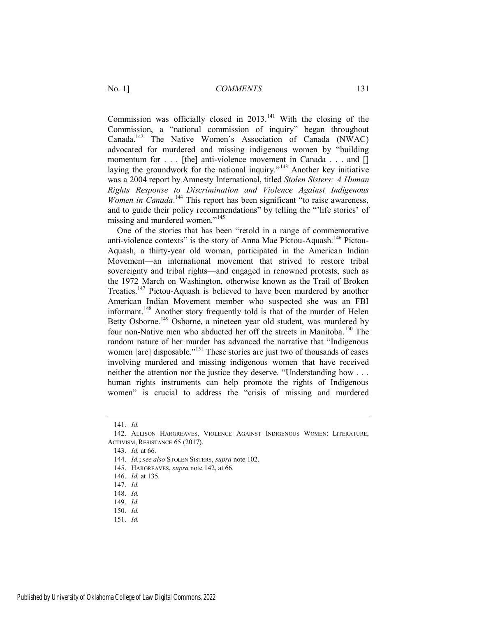Commission was officially closed in  $2013$ .<sup>141</sup> With the closing of the Commission, a "national commission of inquiry" began throughout Canada.<sup>142</sup> The Native Women's Association of Canada (NWAC) advocated for murdered and missing indigenous women by "building momentum for . . . [the] anti-violence movement in Canada . . . and [] laying the groundwork for the national inquiry."<sup>143</sup> Another key initiative was a 2004 report by Amnesty International, titled *Stolen Sisters: A Human Rights Response to Discrimination and Violence Against Indigenous*  Women in Canada.<sup>144</sup> This report has been significant "to raise awareness, and to guide their policy recommendations" by telling the "'life stories' of missing and murdered women."<sup>145</sup>

One of the stories that has been "retold in a range of commemorative anti-violence contexts" is the story of Anna Mae Pictou-Aquash.<sup>146</sup> Pictou-Aquash, a thirty-year old woman, participated in the American Indian Movement—an international movement that strived to restore tribal sovereignty and tribal rights—and engaged in renowned protests, such as the 1972 March on Washington, otherwise known as the Trail of Broken Treaties.<sup>147</sup> Pictou-Aquash is believed to have been murdered by another American Indian Movement member who suspected she was an FBI informant.<sup>148</sup> Another story frequently told is that of the murder of Helen Betty Osborne.<sup>149</sup> Osborne, a nineteen year old student, was murdered by four non-Native men who abducted her off the streets in Manitoba.<sup>150</sup> The random nature of her murder has advanced the narrative that "Indigenous women [are] disposable."<sup>151</sup> These stories are just two of thousands of cases involving murdered and missing indigenous women that have received neither the attention nor the justice they deserve. "Understanding how . . . human rights instruments can help promote the rights of Indigenous women" is crucial to address the "crisis of missing and murdered

- 150. *Id.*
- 151. *Id.*

<sup>141.</sup> *Id.*

<sup>142.</sup> ALLISON HARGREAVES, VIOLENCE AGAINST INDIGENOUS WOMEN: LITERATURE, ACTIVISM, RESISTANCE 65 (2017).

<sup>143.</sup> *Id.* at 66.

<sup>144.</sup> *Id.*; *see also* STOLEN SISTERS, *supra* note 102.

<sup>145.</sup> HARGREAVES, *supra* note 142, at 66.

<sup>146.</sup> *Id.* at 135.

<sup>147.</sup> *Id.* 

<sup>148.</sup> *Id.*

<sup>149.</sup> *Id.*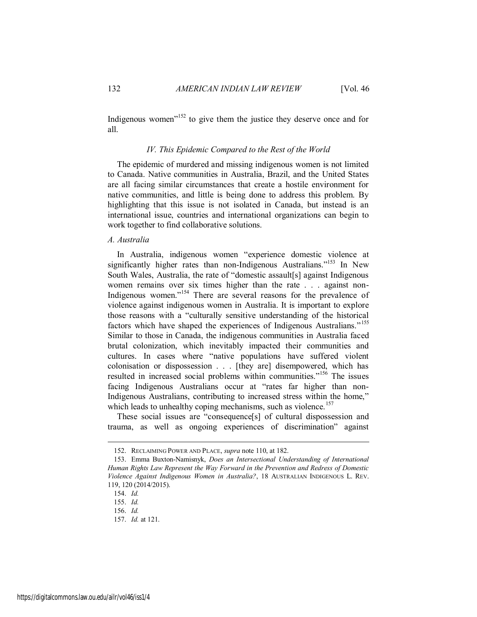Indigenous women<sup> $152$ </sup> to give them the justice they deserve once and for all.

#### *IV. This Epidemic Compared to the Rest of the World*

The epidemic of murdered and missing indigenous women is not limited to Canada. Native communities in Australia, Brazil, and the United States are all facing similar circumstances that create a hostile environment for native communities, and little is being done to address this problem. By highlighting that this issue is not isolated in Canada, but instead is an international issue, countries and international organizations can begin to work together to find collaborative solutions.

#### *A. Australia*

In Australia, indigenous women "experience domestic violence at significantly higher rates than non-Indigenous Australians."<sup>153</sup> In New South Wales, Australia, the rate of "domestic assault[s] against Indigenous women remains over six times higher than the rate . . . against non-Indigenous women."<sup>154</sup> There are several reasons for the prevalence of violence against indigenous women in Australia. It is important to explore those reasons with a "culturally sensitive understanding of the historical factors which have shaped the experiences of Indigenous Australians."<sup>155</sup> Similar to those in Canada, the indigenous communities in Australia faced brutal colonization, which inevitably impacted their communities and cultures. In cases where "native populations have suffered violent colonisation or dispossession . . . [they are] disempowered, which has resulted in increased social problems within communities."<sup>156</sup> The issues facing Indigenous Australians occur at "rates far higher than non-Indigenous Australians, contributing to increased stress within the home," which leads to unhealthy coping mechanisms, such as violence.<sup>157</sup>

These social issues are "consequence[s] of cultural dispossession and trauma, as well as ongoing experiences of discrimination" against

<sup>152.</sup> RECLAIMING POWER AND PLACE, *supra* note 110, at 182.

<sup>153.</sup> Emma Buxton-Namisnyk, *Does an Intersectional Understanding of International Human Rights Law Represent the Way Forward in the Prevention and Redress of Domestic Violence Against Indigenous Women in Australia?*, 18 AUSTRALIAN INDIGENOUS L. REV. 119, 120 (2014/2015).

<sup>154.</sup> *Id.*

<sup>155.</sup> *Id.*

<sup>156.</sup> *Id.*

<sup>157.</sup> *Id.* at 121.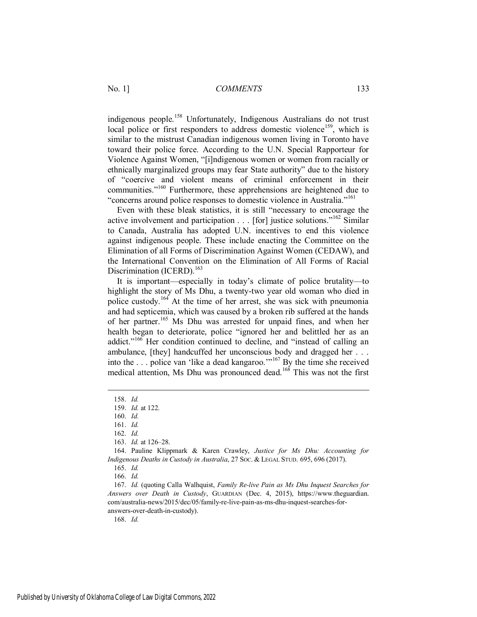indigenous people.<sup>158</sup> Unfortunately, Indigenous Australians do not trust local police or first responders to address domestic violence<sup>159</sup>, which is similar to the mistrust Canadian indigenous women living in Toronto have toward their police force. According to the U.N. Special Rapporteur for Violence Against Women, "[i]ndigenous women or women from racially or ethnically marginalized groups may fear State authority" due to the history of "coercive and violent means of criminal enforcement in their communities."<sup>160</sup> Furthermore, these apprehensions are heightened due to "concerns around police responses to domestic violence in Australia."<sup>161</sup>

Even with these bleak statistics, it is still "necessary to encourage the active involvement and participation . . . [for] justice solutions."<sup>162</sup> Similar to Canada, Australia has adopted U.N. incentives to end this violence against indigenous people. These include enacting the Committee on the Elimination of all Forms of Discrimination Against Women (CEDAW), and the International Convention on the Elimination of All Forms of Racial Discrimination (ICERD).<sup>163</sup>

It is important—especially in today's climate of police brutality—to highlight the story of Ms Dhu, a twenty-two year old woman who died in police custody.<sup>164</sup> At the time of her arrest, she was sick with pneumonia and had septicemia, which was caused by a broken rib suffered at the hands of her partner.<sup>165</sup> Ms Dhu was arrested for unpaid fines, and when her health began to deteriorate, police "ignored her and belittled her as an addict."<sup>166</sup> Her condition continued to decline, and "instead of calling an ambulance, [they] handcuffed her unconscious body and dragged her . . . into the . . . police van 'like a dead kangaroo.'"<sup>167</sup> By the time she received medical attention, Ms Dhu was pronounced dead.<sup>168</sup> This was not the first

 $\overline{a}$ 

<sup>158.</sup> *Id.*

<sup>159.</sup> *Id.* at 122.

<sup>160.</sup> *Id.*

<sup>161.</sup> *Id.*

<sup>162.</sup> *Id.*

<sup>163.</sup> *Id.* at 126–28.

<sup>164.</sup> Pauline Klippmark & Karen Crawley, *Justice for Ms Dhu: Accounting for Indigenous Deaths in Custody in Australia*, 27 SOC. & LEGAL STUD. 695, 696 (2017).

<sup>165.</sup> *Id.*

<sup>166.</sup> *Id.*

<sup>167.</sup> *Id.* (quoting Calla Walhquist, *Family Re-live Pain as Ms Dhu Inquest Searches for Answers over Death in Custody*, GUARDIAN (Dec. 4, 2015), https://www.theguardian. com/australia-news/2015/dec/05/family-re-live-pain-as-ms-dhu-inquest-searches-foranswers-over-death-in-custody).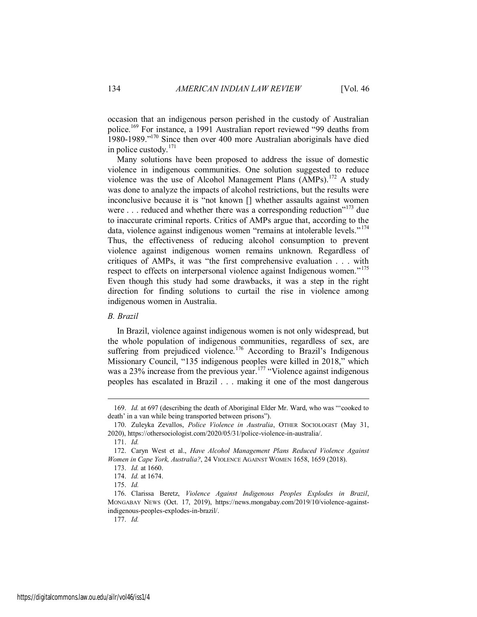occasion that an indigenous person perished in the custody of Australian police.<sup>169</sup> For instance, a 1991 Australian report reviewed "99 deaths from 1980-1989."<sup>170</sup> Since then over 400 more Australian aboriginals have died in police custody.<sup>171</sup>

Many solutions have been proposed to address the issue of domestic violence in indigenous communities. One solution suggested to reduce violence was the use of Alcohol Management Plans  $(AMPs)$ .<sup>172</sup> A study was done to analyze the impacts of alcohol restrictions, but the results were inconclusive because it is "not known [] whether assaults against women were . . . reduced and whether there was a corresponding reduction"<sup>173</sup> due to inaccurate criminal reports. Critics of AMPs argue that, according to the data, violence against indigenous women "remains at intolerable levels."<sup>174</sup> Thus, the effectiveness of reducing alcohol consumption to prevent violence against indigenous women remains unknown. Regardless of critiques of AMPs, it was "the first comprehensive evaluation . . . with respect to effects on interpersonal violence against Indigenous women."<sup>175</sup> Even though this study had some drawbacks, it was a step in the right direction for finding solutions to curtail the rise in violence among indigenous women in Australia.

#### *B. Brazil*

In Brazil, violence against indigenous women is not only widespread, but the whole population of indigenous communities, regardless of sex, are suffering from prejudiced violence.<sup>176</sup> According to Brazil's Indigenous Missionary Council, "135 indigenous peoples were killed in 2018," which was a 23% increase from the previous year.<sup>177</sup> "Violence against indigenous peoples has escalated in Brazil . . . making it one of the most dangerous

<sup>169.</sup> *Id.* at 697 (describing the death of Aboriginal Elder Mr. Ward, who was "'cooked to death' in a van while being transported between prisons").

<sup>170.</sup> Zuleyka Zevallos, *Police Violence in Australia*, OTHER SOCIOLOGIST (May 31, 2020), https://othersociologist.com/2020/05/31/police-violence-in-australia/.

<sup>171.</sup> *Id.*

<sup>172.</sup> Caryn West et al., *Have Alcohol Management Plans Reduced Violence Against Women in Cape York, Australia?*, 24 VIOLENCE AGAINST WOMEN 1658, 1659 (2018).

<sup>173.</sup> *Id.* at 1660.

<sup>174.</sup> *Id.* at 1674.

<sup>175.</sup> *Id.*

<sup>176.</sup> Clarissa Beretz, *Violence Against Indigenous Peoples Explodes in Brazil*, MONGABAY NEWS (Oct. 17, 2019), https://news.mongabay.com/2019/10/violence-againstindigenous-peoples-explodes-in-brazil/.

<sup>177.</sup> *Id.*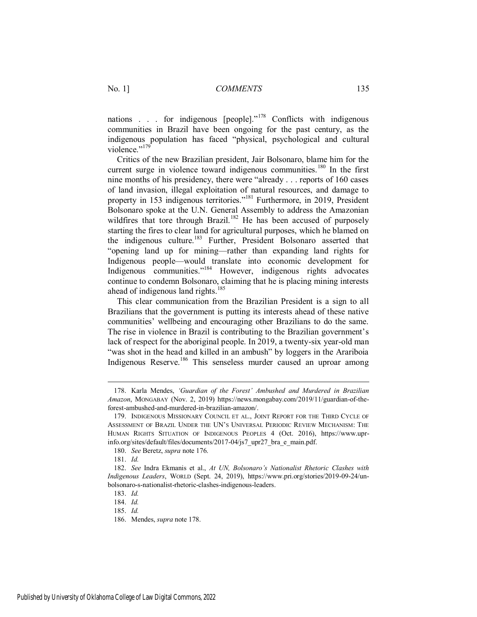nations . . . for indigenous  $[people]$ ."<sup>178</sup> Conflicts with indigenous communities in Brazil have been ongoing for the past century, as the indigenous population has faced "physical, psychological and cultural violence."<sup>179</sup>

Critics of the new Brazilian president, Jair Bolsonaro, blame him for the current surge in violence toward indigenous communities.<sup>180</sup> In the first nine months of his presidency, there were "already . . . reports of 160 cases of land invasion, illegal exploitation of natural resources, and damage to property in 153 indigenous territories."<sup>181</sup> Furthermore, in 2019, President Bolsonaro spoke at the U.N. General Assembly to address the Amazonian wildfires that tore through Brazil.<sup>182</sup> He has been accused of purposely starting the fires to clear land for agricultural purposes, which he blamed on the indigenous culture.<sup>183</sup> Further, President Bolsonaro asserted that "opening land up for mining—rather than expanding land rights for Indigenous people—would translate into economic development for Indigenous communities."<sup>184</sup> However, indigenous rights advocates continue to condemn Bolsonaro, claiming that he is placing mining interests ahead of indigenous land rights.<sup>185</sup>

This clear communication from the Brazilian President is a sign to all Brazilians that the government is putting its interests ahead of these native communities' wellbeing and encouraging other Brazilians to do the same. The rise in violence in Brazil is contributing to the Brazilian government's lack of respect for the aboriginal people. In 2019, a twenty-six year-old man "was shot in the head and killed in an ambush" by loggers in the Arariboia Indigenous Reserve.<sup>186</sup> This senseless murder caused an uproar among

<sup>178.</sup> Karla Mendes, *'Guardian of the Forest' Ambushed and Murdered in Brazilian Amazon*, MONGABAY (Nov. 2, 2019) https://news.mongabay.com/2019/11/guardian-of-theforest-ambushed-and-murdered-in-brazilian-amazon/.

<sup>179.</sup> INDIGENOUS MISSIONARY COUNCIL ET AL., JOINT REPORT FOR THE THIRD CYCLE OF ASSESSMENT OF BRAZIL UNDER THE UN'S UNIVERSAL PERIODIC REVIEW MECHANISM: THE HUMAN RIGHTS SITUATION OF INDIGENOUS PEOPLES 4 (Oct. 2016), https://www.uprinfo.org/sites/default/files/documents/2017-04/js7\_upr27\_bra\_e\_main.pdf.

<sup>180.</sup> *See* Beretz, *supra* note 176.

<sup>181.</sup> *Id.*

<sup>182.</sup> *See* Indra Ekmanis et al., *At UN, Bolsonaro's Nationalist Rhetoric Clashes with Indigenous Leaders*, WORLD (Sept. 24, 2019), https://www.pri.org/stories/2019-09-24/unbolsonaro-s-nationalist-rhetoric-clashes-indigenous-leaders.

<sup>183.</sup> *Id.*

<sup>184.</sup> *Id.*

<sup>185.</sup> *Id.*

<sup>186.</sup> Mendes, *supra* note 178.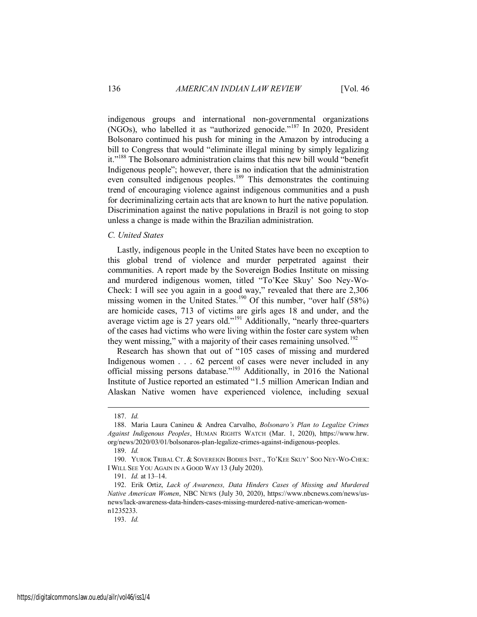indigenous groups and international non-governmental organizations (NGOs), who labelled it as "authorized genocide."<sup>187</sup> In 2020, President Bolsonaro continued his push for mining in the Amazon by introducing a bill to Congress that would "eliminate illegal mining by simply legalizing it."<sup>188</sup> The Bolsonaro administration claims that this new bill would "benefit Indigenous people"; however, there is no indication that the administration even consulted indigenous peoples.<sup>189</sup> This demonstrates the continuing trend of encouraging violence against indigenous communities and a push for decriminalizing certain acts that are known to hurt the native population. Discrimination against the native populations in Brazil is not going to stop unless a change is made within the Brazilian administration.

#### *C. United States*

Lastly, indigenous people in the United States have been no exception to this global trend of violence and murder perpetrated against their communities. A report made by the Sovereign Bodies Institute on missing and murdered indigenous women, titled "To'Kee Skuy' Soo Ney-Wo-Check: I will see you again in a good way," revealed that there are 2,306 missing women in the United States.<sup>190</sup> Of this number, "over half  $(58%)$ are homicide cases, 713 of victims are girls ages 18 and under, and the average victim age is 27 years old."<sup>191</sup> Additionally, "nearly three-quarters of the cases had victims who were living within the foster care system when they went missing," with a majority of their cases remaining unsolved.<sup>192</sup>

Research has shown that out of "105 cases of missing and murdered Indigenous women . . . 62 percent of cases were never included in any official missing persons database."<sup>193</sup> Additionally, in 2016 the National Institute of Justice reported an estimated "1.5 million American Indian and Alaskan Native women have experienced violence, including sexual

 $\overline{a}$ 

<sup>187.</sup> *Id.*

<sup>188.</sup> Maria Laura Canineu & Andrea Carvalho, *Bolsonaro's Plan to Legalize Crimes Against Indigenous Peoples*, HUMAN RIGHTS WATCH (Mar. 1, 2020), https://www.hrw. org/news/2020/03/01/bolsonaros-plan-legalize-crimes-against-indigenous-peoples.

<sup>189.</sup> *Id.*

<sup>190.</sup> YUROK TRIBAL CT. & SOVEREIGN BODIES INST., TO'KEE SKUY' SOO NEY-WO-CHEK: I WILL SEE YOU AGAIN IN A GOOD WAY 13 (July 2020).

<sup>191.</sup> *Id.* at 13–14.

<sup>192.</sup> Erik Ortiz, *Lack of Awareness, Data Hinders Cases of Missing and Murdered Native American Women*, NBC NEWS (July 30, 2020), https://www.nbcnews.com/news/usnews/lack-awareness-data-hinders-cases-missing-murdered-native-american-womenn1235233.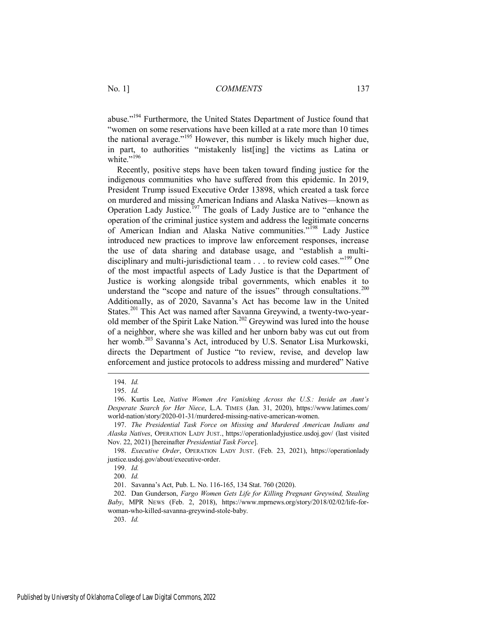abuse."<sup>194</sup> Furthermore, the United States Department of Justice found that "women on some reservations have been killed at a rate more than 10 times the national average."<sup>195</sup> However, this number is likely much higher due, in part, to authorities "mistakenly list[ing] the victims as Latina or white."<sup>196</sup>

Recently, positive steps have been taken toward finding justice for the indigenous communities who have suffered from this epidemic. In 2019, President Trump issued Executive Order 13898, which created a task force on murdered and missing American Indians and Alaska Natives—known as Operation Lady Justice.<sup>197</sup> The goals of Lady Justice are to "enhance the operation of the criminal justice system and address the legitimate concerns of American Indian and Alaska Native communities."<sup>198</sup> Lady Justice introduced new practices to improve law enforcement responses, increase the use of data sharing and database usage, and "establish a multidisciplinary and multi-jurisdictional team  $\ldots$  to review cold cases.<sup> $199$ </sup> One of the most impactful aspects of Lady Justice is that the Department of Justice is working alongside tribal governments, which enables it to understand the "scope and nature of the issues" through consultations.<sup>200</sup> Additionally, as of 2020, Savanna's Act has become law in the United States.<sup>201</sup> This Act was named after Savanna Greywind, a twenty-two-yearold member of the Spirit Lake Nation.<sup>202</sup> Greywind was lured into the house of a neighbor, where she was killed and her unborn baby was cut out from her womb.<sup>203</sup> Savanna's Act, introduced by U.S. Senator Lisa Murkowski, directs the Department of Justice "to review, revise, and develop law enforcement and justice protocols to address missing and murdered" Native

 $\overline{a}$ 

<sup>194.</sup> *Id.*

<sup>195.</sup> *Id.*

<sup>196.</sup> Kurtis Lee, *Native Women Are Vanishing Across the U.S.: Inside an Aunt's Desperate Search for Her Niece*, L.A. TIMES (Jan. 31, 2020), https://www.latimes.com/ world-nation/story/2020-01-31/murdered-missing-native-american-women.

<sup>197.</sup> *The Presidential Task Force on Missing and Murdered American Indians and Alaska Natives*, OPERATION LADY JUST., https://operationladyjustice.usdoj.gov/ (last visited Nov. 22, 2021) [hereinafter *Presidential Task Force*].

<sup>198.</sup> *Executive Order*, OPERATION LADY JUST. (Feb. 23, 2021), https://operationlady justice.usdoj.gov/about/executive-order.

<sup>199.</sup> *Id.*

<sup>200.</sup> *Id.*

<sup>201.</sup> Savanna's Act, Pub. L. No. 116-165, 134 Stat. 760 (2020).

<sup>202.</sup> Dan Gunderson, *Fargo Women Gets Life for Killing Pregnant Greywind, Stealing Baby*, MPR NEWS (Feb. 2, 2018), https://www.mprnews.org/story/2018/02/02/life-forwoman-who-killed-savanna-greywind-stole-baby.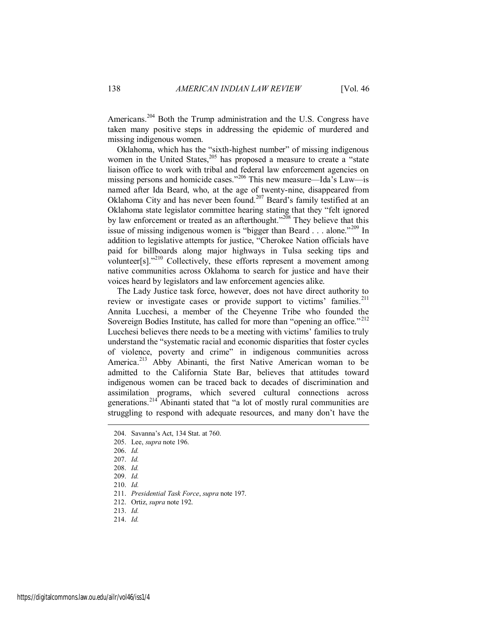Americans.<sup>204</sup> Both the Trump administration and the U.S. Congress have taken many positive steps in addressing the epidemic of murdered and missing indigenous women.

Oklahoma, which has the "sixth-highest number" of missing indigenous women in the United States,<sup>205</sup> has proposed a measure to create a "state" liaison office to work with tribal and federal law enforcement agencies on missing persons and homicide cases."<sup>206</sup> This new measure—Ida's Law—is named after Ida Beard, who, at the age of twenty-nine, disappeared from Oklahoma City and has never been found.<sup>207</sup> Beard's family testified at an Oklahoma state legislator committee hearing stating that they "felt ignored by law enforcement or treated as an afterthought."<sup>208</sup> They believe that this issue of missing indigenous women is "bigger than Beard . . . alone."<sup>209</sup> In addition to legislative attempts for justice, "Cherokee Nation officials have paid for billboards along major highways in Tulsa seeking tips and volunteer[s]. $^{210}$  Collectively, these efforts represent a movement among native communities across Oklahoma to search for justice and have their voices heard by legislators and law enforcement agencies alike.

The Lady Justice task force, however, does not have direct authority to review or investigate cases or provide support to victims' families.<sup>211</sup> Annita Lucchesi, a member of the Cheyenne Tribe who founded the Sovereign Bodies Institute, has called for more than "opening an office."<sup>212</sup> Lucchesi believes there needs to be a meeting with victims' families to truly understand the "systematic racial and economic disparities that foster cycles of violence, poverty and crime" in indigenous communities across America.<sup>213</sup> Abby Abinanti, the first Native American woman to be admitted to the California State Bar, believes that attitudes toward indigenous women can be traced back to decades of discrimination and assimilation programs, which severed cultural connections across generations.<sup>214</sup> Abinanti stated that "a lot of mostly rural communities are struggling to respond with adequate resources, and many don't have the

 $\overline{a}$ 

<sup>204.</sup> Savanna's Act, 134 Stat. at 760.

<sup>205.</sup> Lee, *supra* note 196.

<sup>206.</sup> *Id.*

<sup>207.</sup> *Id.*

<sup>208.</sup> *Id.*

<sup>209.</sup> *Id.*

<sup>210.</sup> *Id.*

<sup>211.</sup> *Presidential Task Force*, *supra* note 197.

<sup>212.</sup> Ortiz, *supra* note 192.

<sup>213.</sup> *Id.*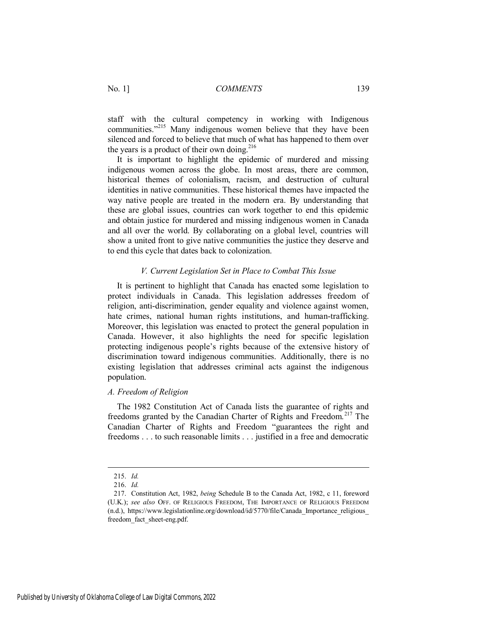staff with the cultural competency in working with Indigenous communities."<sup>215</sup> Many indigenous women believe that they have been silenced and forced to believe that much of what has happened to them over the years is a product of their own doing.<sup>216</sup>

It is important to highlight the epidemic of murdered and missing indigenous women across the globe. In most areas, there are common, historical themes of colonialism, racism, and destruction of cultural identities in native communities. These historical themes have impacted the way native people are treated in the modern era. By understanding that these are global issues, countries can work together to end this epidemic and obtain justice for murdered and missing indigenous women in Canada and all over the world. By collaborating on a global level, countries will show a united front to give native communities the justice they deserve and to end this cycle that dates back to colonization.

#### *V. Current Legislation Set in Place to Combat This Issue*

It is pertinent to highlight that Canada has enacted some legislation to protect individuals in Canada. This legislation addresses freedom of religion, anti-discrimination, gender equality and violence against women, hate crimes, national human rights institutions, and human-trafficking. Moreover, this legislation was enacted to protect the general population in Canada. However, it also highlights the need for specific legislation protecting indigenous people's rights because of the extensive history of discrimination toward indigenous communities. Additionally, there is no existing legislation that addresses criminal acts against the indigenous population.

#### *A. Freedom of Religion*

The 1982 Constitution Act of Canada lists the guarantee of rights and freedoms granted by the Canadian Charter of Rights and Freedom.<sup>217</sup> The Canadian Charter of Rights and Freedom "guarantees the right and freedoms . . . to such reasonable limits . . . justified in a free and democratic

<sup>215.</sup> *Id.*

<sup>216.</sup> *Id.*

<sup>217.</sup> Constitution Act, 1982, *being* Schedule B to the Canada Act, 1982, c 11, foreword (U.K.); *see also* OFF. OF RELIGIOUS FREEDOM, THE IMPORTANCE OF RELIGIOUS FREEDOM (n.d.), https://www.legislationline.org/download/id/5770/file/Canada\_Importance\_religious\_ freedom\_fact\_sheet-eng.pdf.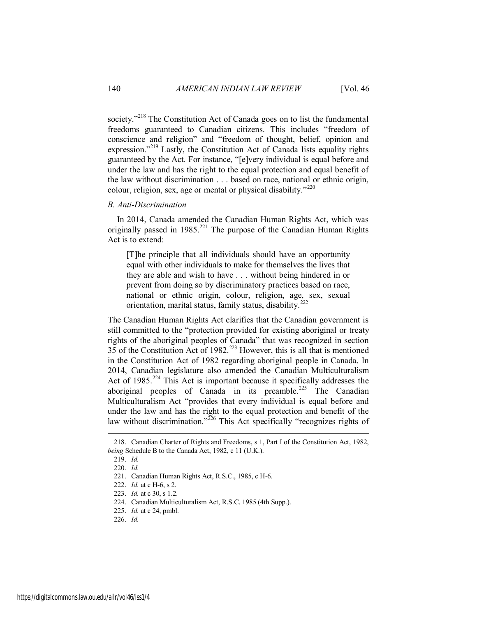society.<sup>218</sup> The Constitution Act of Canada goes on to list the fundamental freedoms guaranteed to Canadian citizens. This includes "freedom of conscience and religion" and "freedom of thought, belief, opinion and expression."<sup>219</sup> Lastly, the Constitution Act of Canada lists equality rights guaranteed by the Act. For instance, "[e]very individual is equal before and under the law and has the right to the equal protection and equal benefit of the law without discrimination . . . based on race, national or ethnic origin, colour, religion, sex, age or mental or physical disability." $220$ 

#### *B. Anti-Discrimination*

In 2014, Canada amended the Canadian Human Rights Act, which was originally passed in  $1985$ <sup>221</sup> The purpose of the Canadian Human Rights Act is to extend:

[T]he principle that all individuals should have an opportunity equal with other individuals to make for themselves the lives that they are able and wish to have . . . without being hindered in or prevent from doing so by discriminatory practices based on race, national or ethnic origin, colour, religion, age, sex, sexual orientation, marital status, family status, disability.<sup>2</sup>

The Canadian Human Rights Act clarifies that the Canadian government is still committed to the "protection provided for existing aboriginal or treaty rights of the aboriginal peoples of Canada" that was recognized in section  $35$  of the Constitution Act of 1982.<sup>223</sup> However, this is all that is mentioned in the Constitution Act of 1982 regarding aboriginal people in Canada. In 2014, Canadian legislature also amended the Canadian Multiculturalism Act of 1985.<sup>224</sup> This Act is important because it specifically addresses the aboriginal peoples of Canada in its preamble.<sup>225</sup> The Canadian Multiculturalism Act "provides that every individual is equal before and under the law and has the right to the equal protection and benefit of the law without discrimination."<sup>226</sup> This Act specifically "recognizes rights of

<sup>218.</sup> Canadian Charter of Rights and Freedoms, s 1, Part I of the Constitution Act, 1982, *being* Schedule B to the Canada Act, 1982, c 11 (U.K.).

<sup>219.</sup> *Id.*

<sup>220.</sup> *Id.*

<sup>221.</sup> Canadian Human Rights Act, R.S.C., 1985, c H-6.

<sup>222.</sup> *Id.* at c H-6, s 2.

<sup>223.</sup> *Id.* at c 30, s 1.2.

<sup>224.</sup> Canadian Multiculturalism Act, R.S.C. 1985 (4th Supp.).

<sup>225.</sup> *Id.* at c 24, pmbl.

<sup>226.</sup> *Id.*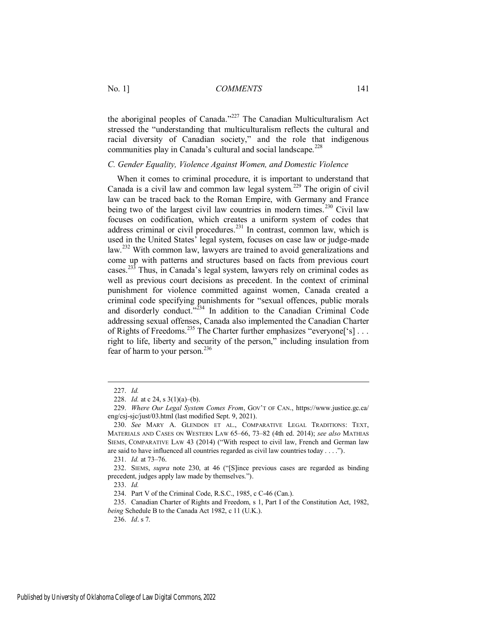the aboriginal peoples of Canada."<sup>227</sup> The Canadian Multiculturalism Act stressed the "understanding that multiculturalism reflects the cultural and racial diversity of Canadian society," and the role that indigenous communities play in Canada's cultural and social landscape.<sup>228</sup>

#### *C. Gender Equality, Violence Against Women, and Domestic Violence*

When it comes to criminal procedure, it is important to understand that Canada is a civil law and common law legal system.<sup>229</sup> The origin of civil law can be traced back to the Roman Empire, with Germany and France being two of the largest civil law countries in modern times.<sup>230</sup> Civil law focuses on codification, which creates a uniform system of codes that address criminal or civil procedures.<sup>231</sup> In contrast, common law, which is used in the United States' legal system, focuses on case law or judge-made law.<sup>232</sup> With common law, lawyers are trained to avoid generalizations and come up with patterns and structures based on facts from previous court cases.<sup>233</sup> Thus, in Canada's legal system, lawyers rely on criminal codes as well as previous court decisions as precedent. In the context of criminal punishment for violence committed against women, Canada created a criminal code specifying punishments for "sexual offences, public morals and disorderly conduct." $2^{34}$  In addition to the Canadian Criminal Code addressing sexual offenses, Canada also implemented the Canadian Charter of Rights of Freedoms.<sup>235</sup> The Charter further emphasizes "everyone<sup>['s]</sup>... right to life, liberty and security of the person," including insulation from fear of harm to your person.<sup>236</sup>

 $\overline{a}$ 

233. *Id.*

234. Part V of the Criminal Code, R.S.C., 1985, c C-46 (Can.).

236. *Id*. s 7.

<sup>227.</sup> *Id.*

<sup>228.</sup> *Id.* at c 24, s 3(1)(a)–(b).

<sup>229.</sup> *Where Our Legal System Comes From*, GOV'T OF CAN., https://www.justice.gc.ca/ eng/csj-sjc/just/03.html (last modified Sept. 9, 2021).

<sup>230.</sup> *See* MARY A. GLENDON ET AL., COMPARATIVE LEGAL TRADITIONS: TEXT, MATERIALS AND CASES ON WESTERN LAW 65–66, 73–82 (4th ed. 2014); *see also* MATHIAS SIEMS, COMPARATIVE LAW 43 (2014) ("With respect to civil law, French and German law are said to have influenced all countries regarded as civil law countries today . . . .").

<sup>231.</sup> *Id.* at 73–76.

<sup>232.</sup> SIEMS, *supra* note 230, at 46 ("[S]ince previous cases are regarded as binding precedent, judges apply law made by themselves.").

<sup>235.</sup> Canadian Charter of Rights and Freedom, s 1, Part I of the Constitution Act, 1982, *being* Schedule B to the Canada Act 1982, c 11 (U.K.).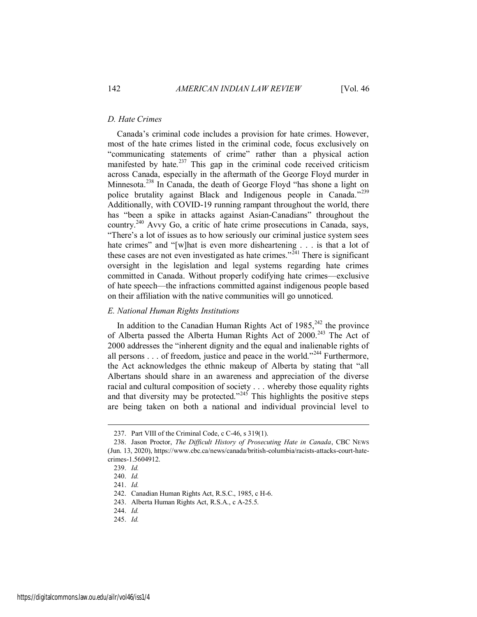#### *D. Hate Crimes*

Canada's criminal code includes a provision for hate crimes. However, most of the hate crimes listed in the criminal code, focus exclusively on "communicating statements of crime" rather than a physical action manifested by hate. $237$  This gap in the criminal code received criticism across Canada, especially in the aftermath of the George Floyd murder in Minnesota.<sup>238</sup> In Canada, the death of George Floyd "has shone a light on police brutality against Black and Indigenous people in Canada."<sup>239</sup> Additionally, with COVID-19 running rampant throughout the world, there has "been a spike in attacks against Asian-Canadians" throughout the country.<sup>240</sup> Avvy Go, a critic of hate crime prosecutions in Canada, says, "There's a lot of issues as to how seriously our criminal justice system sees hate crimes" and "[w]hat is even more disheartening . . . is that a lot of these cases are not even investigated as hate crimes."<sup>241</sup> There is significant oversight in the legislation and legal systems regarding hate crimes committed in Canada. Without properly codifying hate crimes—exclusive of hate speech—the infractions committed against indigenous people based on their affiliation with the native communities will go unnoticed.

#### *E. National Human Rights Institutions*

In addition to the Canadian Human Rights Act of  $1985$ ,<sup>242</sup> the province of Alberta passed the Alberta Human Rights Act of 2000.<sup>243</sup> The Act of 2000 addresses the "inherent dignity and the equal and inalienable rights of all persons  $\dots$  of freedom, justice and peace in the world."<sup>244</sup> Furthermore, the Act acknowledges the ethnic makeup of Alberta by stating that "all Albertans should share in an awareness and appreciation of the diverse racial and cultural composition of society . . . whereby those equality rights and that diversity may be protected."<sup>245</sup> This highlights the positive steps are being taken on both a national and individual provincial level to

<sup>237.</sup> Part VIII of the Criminal Code, c C-46, s 319(1).

<sup>238.</sup> Jason Proctor, *The Difficult History of Prosecuting Hate in Canada*, CBC NEWS (Jun. 13, 2020), https://www.cbc.ca/news/canada/british-columbia/racists-attacks-court-hatecrimes-1.5604912.

<sup>239.</sup> *Id.*

<sup>240.</sup> *Id.*

<sup>241.</sup> *Id.*

<sup>242.</sup> Canadian Human Rights Act, R.S.C., 1985, c H-6.

<sup>243.</sup> Alberta Human Rights Act, R.S.A., c A-25.5.

<sup>244.</sup> *Id.*

<sup>245.</sup> *Id.*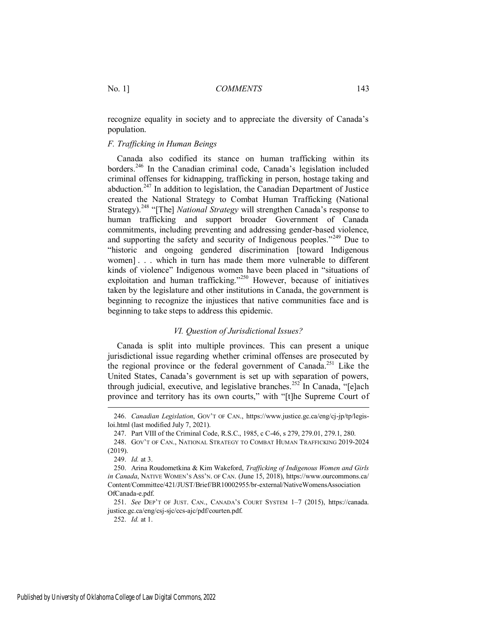recognize equality in society and to appreciate the diversity of Canada's population.

#### *F. Trafficking in Human Beings*

Canada also codified its stance on human trafficking within its borders.<sup>246</sup> In the Canadian criminal code, Canada's legislation included criminal offenses for kidnapping, trafficking in person, hostage taking and abduction.<sup>247</sup> In addition to legislation, the Canadian Department of Justice created the National Strategy to Combat Human Trafficking (National Strategy).<sup>248</sup> "[The] *National Strategy* will strengthen Canada's response to human trafficking and support broader Government of Canada commitments, including preventing and addressing gender-based violence, and supporting the safety and security of Indigenous peoples."<sup>249</sup> Due to "historic and ongoing gendered discrimination [toward Indigenous women] . . . which in turn has made them more vulnerable to different kinds of violence" Indigenous women have been placed in "situations of exploitation and human trafficking."<sup>250</sup> However, because of initiatives taken by the legislature and other institutions in Canada, the government is beginning to recognize the injustices that native communities face and is beginning to take steps to address this epidemic.

#### *VI. Question of Jurisdictional Issues?*

Canada is split into multiple provinces. This can present a unique jurisdictional issue regarding whether criminal offenses are prosecuted by the regional province or the federal government of Canada.<sup>251</sup> Like the United States, Canada's government is set up with separation of powers, through judicial, executive, and legislative branches.<sup>252</sup> In Canada, "[e]ach province and territory has its own courts," with "[t]he Supreme Court of

 $\overline{a}$ 

252. *Id.* at 1.

<sup>246.</sup> *Canadian Legislation*, GOV'T OF CAN., https://www.justice.gc.ca/eng/cj-jp/tp/legisloi.html (last modified July 7, 2021).

<sup>247.</sup> Part VIII of the Criminal Code, R.S.C., 1985, c C-46, s 279, 279.01, 279.1, 280.

<sup>248.</sup> GOV'T OF CAN., NATIONAL STRATEGY TO COMBAT HUMAN TRAFFICKING 2019-2024 (2019).

<sup>249.</sup> *Id.* at 3.

<sup>250.</sup> Arina Roudometkina & Kim Wakeford, *Trafficking of Indigenous Women and Girls in Canada*, NATIVE WOMEN'S ASS'N. OF CAN. (June 15, 2018), https://www.ourcommons.ca/ Content/Committee/421/JUST/Brief/BR10002955/br-external/NativeWomensAssociation OfCanada-e.pdf.

<sup>251.</sup> *See* DEP'T OF JUST. CAN., CANADA'S COURT SYSTEM 1–7 (2015), https://canada. justice.gc.ca/eng/csj-sjc/ccs-ajc/pdf/courten.pdf.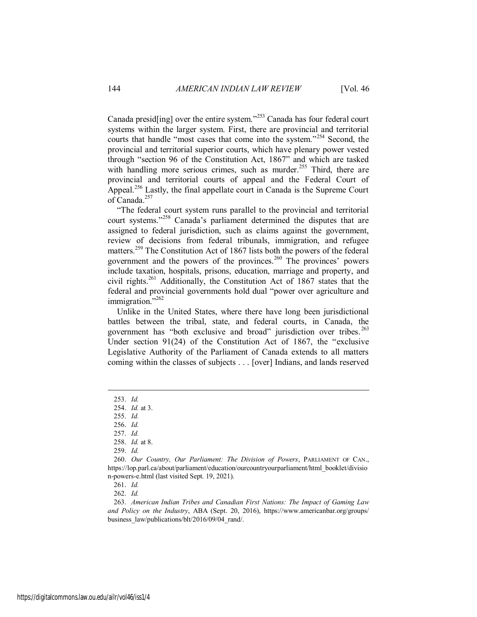Canada presid [ing] over the entire system.<sup>253</sup> Canada has four federal court systems within the larger system. First, there are provincial and territorial courts that handle "most cases that come into the system."<sup>254</sup> Second, the provincial and territorial superior courts, which have plenary power vested through "section 96 of the Constitution Act, 1867" and which are tasked with handling more serious crimes, such as murder.<sup>255</sup> Third, there are provincial and territorial courts of appeal and the Federal Court of Appeal.<sup>256</sup> Lastly, the final appellate court in Canada is the Supreme Court of Canada.<sup>257</sup>

"The federal court system runs parallel to the provincial and territorial court systems."<sup>258</sup> Canada's parliament determined the disputes that are assigned to federal jurisdiction, such as claims against the government, review of decisions from federal tribunals, immigration, and refugee matters.<sup>259</sup> The Constitution Act of 1867 lists both the powers of the federal government and the powers of the provinces.<sup>260</sup> The provinces' powers include taxation, hospitals, prisons, education, marriage and property, and civil rights.<sup>261</sup> Additionally, the Constitution Act of 1867 states that the federal and provincial governments hold dual "power over agriculture and immigration."<sup>262</sup>

Unlike in the United States, where there have long been jurisdictional battles between the tribal, state, and federal courts, in Canada, the government has "both exclusive and broad" jurisdiction over tribes.<sup>263</sup> Under section 91(24) of the Constitution Act of 1867, the "exclusive Legislative Authority of the Parliament of Canada extends to all matters coming within the classes of subjects . . . [over] Indians, and lands reserved

<sup>253.</sup> *Id.*

<sup>254.</sup> *Id.* at 3.

<sup>255.</sup> *Id.*

<sup>256.</sup> *Id.*

<sup>257.</sup> *Id.*

<sup>258.</sup> *Id.* at 8.

<sup>259.</sup> *Id.*

<sup>260.</sup> *Our Country, Our Parliament: The Division of Powers*, PARLIAMENT OF CAN., https://lop.parl.ca/about/parliament/education/ourcountryourparliament/html\_booklet/divisio n-powers-e.html (last visited Sept. 19, 2021).

<sup>261.</sup> *Id.*

<sup>262.</sup> *Id.*

<sup>263.</sup> *American Indian Tribes and Canadian First Nations: The Impact of Gaming Law and Policy on the Industry*, ABA (Sept. 20, 2016), https://www.americanbar.org/groups/ business\_law/publications/blt/2016/09/04\_rand/.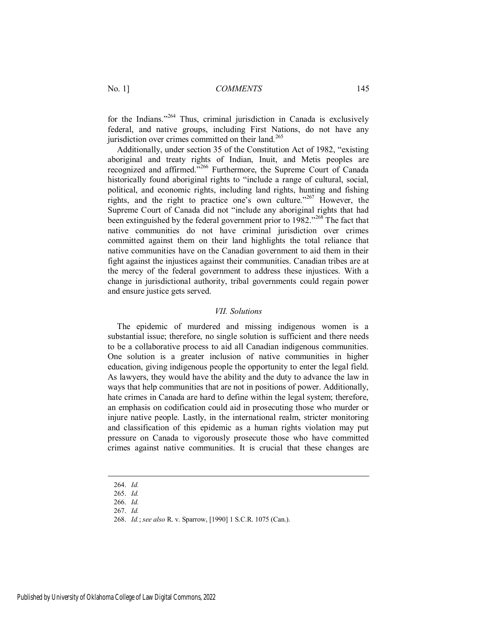for the Indians."<sup>264</sup> Thus, criminal jurisdiction in Canada is exclusively federal, and native groups, including First Nations, do not have any jurisdiction over crimes committed on their land.<sup>265</sup>

Additionally, under section 35 of the Constitution Act of 1982, "existing aboriginal and treaty rights of Indian, Inuit, and Metis peoples are recognized and affirmed."<sup>266</sup> Furthermore, the Supreme Court of Canada historically found aboriginal rights to "include a range of cultural, social, political, and economic rights, including land rights, hunting and fishing rights, and the right to practice one's own culture."<sup>267</sup> However, the Supreme Court of Canada did not "include any aboriginal rights that had been extinguished by the federal government prior to 1982."<sup>268</sup> The fact that native communities do not have criminal jurisdiction over crimes committed against them on their land highlights the total reliance that native communities have on the Canadian government to aid them in their fight against the injustices against their communities. Canadian tribes are at the mercy of the federal government to address these injustices. With a change in jurisdictional authority, tribal governments could regain power and ensure justice gets served.

#### *VII. Solutions*

The epidemic of murdered and missing indigenous women is a substantial issue; therefore, no single solution is sufficient and there needs to be a collaborative process to aid all Canadian indigenous communities. One solution is a greater inclusion of native communities in higher education, giving indigenous people the opportunity to enter the legal field. As lawyers, they would have the ability and the duty to advance the law in ways that help communities that are not in positions of power. Additionally, hate crimes in Canada are hard to define within the legal system; therefore, an emphasis on codification could aid in prosecuting those who murder or injure native people. Lastly, in the international realm, stricter monitoring and classification of this epidemic as a human rights violation may put pressure on Canada to vigorously prosecute those who have committed crimes against native communities. It is crucial that these changes are

<sup>264.</sup> *Id.*

<sup>265.</sup> *Id.*

<sup>266.</sup> *Id.*

<sup>267.</sup> *Id.*

<sup>268.</sup> *Id.*; *see also* R. v. Sparrow, [1990] 1 S.C.R. 1075 (Can.).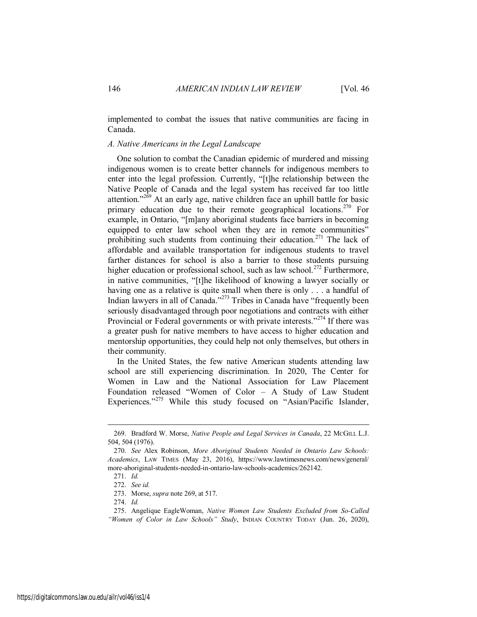implemented to combat the issues that native communities are facing in Canada.

#### *A. Native Americans in the Legal Landscape*

One solution to combat the Canadian epidemic of murdered and missing indigenous women is to create better channels for indigenous members to enter into the legal profession. Currently, "[t]he relationship between the Native People of Canada and the legal system has received far too little attention." $2\delta$ <sup>9</sup> At an early age, native children face an uphill battle for basic primary education due to their remote geographical locations.<sup>270</sup> For example, in Ontario, "[m]any aboriginal students face barriers in becoming equipped to enter law school when they are in remote communities" prohibiting such students from continuing their education.<sup>271</sup> The lack of affordable and available transportation for indigenous students to travel farther distances for school is also a barrier to those students pursuing higher education or professional school, such as law school.<sup>272</sup> Furthermore, in native communities, "[t]he likelihood of knowing a lawyer socially or having one as a relative is quite small when there is only . . . a handful of Indian lawyers in all of Canada."<sup>273</sup> Tribes in Canada have "frequently been seriously disadvantaged through poor negotiations and contracts with either Provincial or Federal governments or with private interests."<sup>274</sup> If there was a greater push for native members to have access to higher education and mentorship opportunities, they could help not only themselves, but others in their community.

In the United States, the few native American students attending law school are still experiencing discrimination. In 2020, The Center for Women in Law and the National Association for Law Placement Foundation released "Women of Color – A Study of Law Student Experiences."<sup>275</sup> While this study focused on "Asian/Pacific Islander,

<sup>269.</sup> Bradford W. Morse, *Native People and Legal Services in Canada*, 22 MCGILL L.J. 504, 504 (1976).

<sup>270.</sup> *See* Alex Robinson, *More Aboriginal Students Needed in Ontario Law Schools: Academics*, LAW TIMES (May 23, 2016), https://www.lawtimesnews.com/news/general/ more-aboriginal-students-needed-in-ontario-law-schools-academics/262142.

<sup>271.</sup> *Id.*

<sup>272.</sup> *See id.*

<sup>273.</sup> Morse, *supra* note 269, at 517.

<sup>274.</sup> *Id.*

<sup>275.</sup> Angelique EagleWoman, *Native Women Law Students Excluded from So-Called "Women of Color in Law Schools" Study*, INDIAN COUNTRY TODAY (Jun. 26, 2020),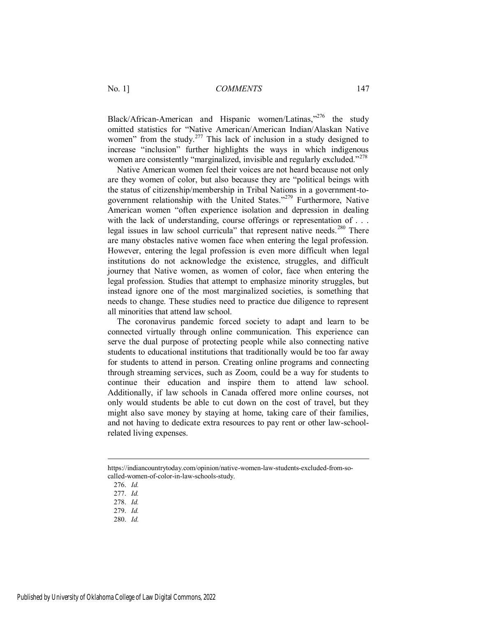Black/African-American and Hispanic women/Latinas,<sup>2276</sup> the study omitted statistics for "Native American/American Indian/Alaskan Native women" from the study.<sup>277</sup> This lack of inclusion in a study designed to increase "inclusion" further highlights the ways in which indigenous women are consistently "marginalized, invisible and regularly excluded."<sup>278</sup>

Native American women feel their voices are not heard because not only are they women of color, but also because they are "political beings with the status of citizenship/membership in Tribal Nations in a government-togovernment relationship with the United States."<sup>279</sup> Furthermore, Native American women "often experience isolation and depression in dealing with the lack of understanding, course offerings or representation of . . . legal issues in law school curricula" that represent native needs.<sup>280</sup> There are many obstacles native women face when entering the legal profession. However, entering the legal profession is even more difficult when legal institutions do not acknowledge the existence, struggles, and difficult journey that Native women, as women of color, face when entering the legal profession. Studies that attempt to emphasize minority struggles, but instead ignore one of the most marginalized societies, is something that needs to change. These studies need to practice due diligence to represent all minorities that attend law school.

The coronavirus pandemic forced society to adapt and learn to be connected virtually through online communication. This experience can serve the dual purpose of protecting people while also connecting native students to educational institutions that traditionally would be too far away for students to attend in person. Creating online programs and connecting through streaming services, such as Zoom, could be a way for students to continue their education and inspire them to attend law school. Additionally, if law schools in Canada offered more online courses, not only would students be able to cut down on the cost of travel, but they might also save money by staying at home, taking care of their families, and not having to dedicate extra resources to pay rent or other law-schoolrelated living expenses.

https://indiancountrytoday.com/opinion/native-women-law-students-excluded-from-socalled-women-of-color-in-law-schools-study.

<sup>276.</sup> *Id.*

<sup>277.</sup> *Id.*

<sup>278.</sup> *Id.*

<sup>279.</sup> *Id.*

<sup>280.</sup> *Id.*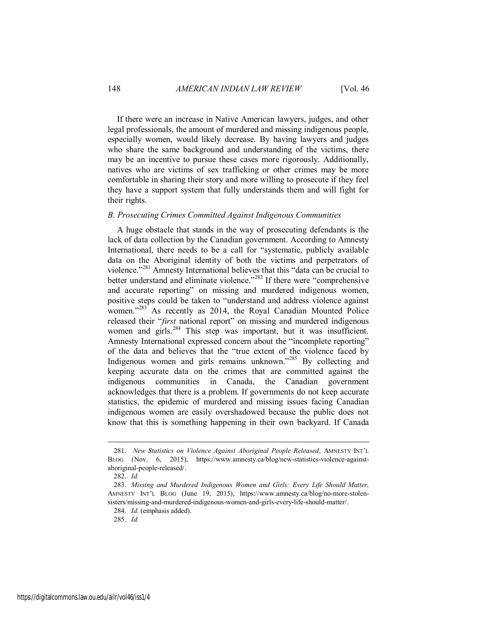If there were an increase in Native American lawyers, judges, and other legal professionals, the amount of murdered and missing indigenous people, especially women, would likely decrease. By having lawyers and judges who share the same background and understanding of the victims, there may be an incentive to pursue these cases more rigorously. Additionally, natives who are victims of sex trafficking or other crimes may be more comfortable in sharing their story and more willing to prosecute if they feel they have a support system that fully understands them and will fight for their rights.

#### *B. Prosecuting Crimes Committed Against Indigenous Communities*

A huge obstacle that stands in the way of prosecuting defendants is the lack of data collection by the Canadian government. According to Amnesty International, there needs to be a call for "systematic, publicly available data on the Aboriginal identity of both the victims and perpetrators of violence."<sup>281</sup> Amnesty International believes that this "data can be crucial to better understand and eliminate violence."<sup>282</sup> If there were "comprehensive and accurate reporting" on missing and murdered indigenous women, positive steps could be taken to "understand and address violence against women."<sup>283</sup> As recently as 2014, the Royal Canadian Mounted Police released their "*first* national report" on missing and murdered indigenous women and girls.<sup>284</sup> This step was important, but it was insufficient. Amnesty International expressed concern about the "incomplete reporting" of the data and believes that the "true extent of the violence faced by Indigenous women and girls remains unknown."<sup>285</sup> By collecting and keeping accurate data on the crimes that are committed against the indigenous communities in Canada, the Canadian government acknowledges that there is a problem. If governments do not keep accurate statistics, the epidemic of murdered and missing issues facing Canadian indigenous women are easily overshadowed because the public does not know that this is something happening in their own backyard. If Canada

<sup>281.</sup> *New Statistics on Violence Against Aboriginal People Released*, AMNESTY INT'L BLOG (Nov. 6, 2015), https://www.amnesty.ca/blog/new-statistics-violence-againstaboriginal-people-released/.

<sup>282.</sup> *Id.*

<sup>283.</sup> *Missing and Murdered Indigenous Women and Girls: Every Life Should Matter,*  AMNESTY INT'L BLOG (June 19, 2015), https://www.amnesty.ca/blog/no-more-stolensisters/missing-and-murdered-indigenous-women-and-girls-every-life-should-matter/.

<sup>284.</sup> *Id.* (emphasis added).

<sup>285.</sup> *Id.*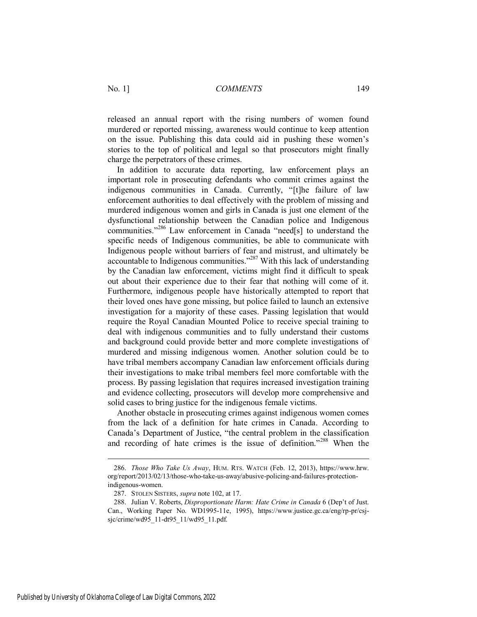released an annual report with the rising numbers of women found murdered or reported missing, awareness would continue to keep attention on the issue. Publishing this data could aid in pushing these women's stories to the top of political and legal so that prosecutors might finally charge the perpetrators of these crimes.

In addition to accurate data reporting, law enforcement plays an important role in prosecuting defendants who commit crimes against the indigenous communities in Canada. Currently, "[t]he failure of law enforcement authorities to deal effectively with the problem of missing and murdered indigenous women and girls in Canada is just one element of the dysfunctional relationship between the Canadian police and Indigenous communities."<sup>286</sup> Law enforcement in Canada "need[s] to understand the specific needs of Indigenous communities, be able to communicate with Indigenous people without barriers of fear and mistrust, and ultimately be accountable to Indigenous communities.<sup> $287$ </sup> With this lack of understanding by the Canadian law enforcement, victims might find it difficult to speak out about their experience due to their fear that nothing will come of it. Furthermore, indigenous people have historically attempted to report that their loved ones have gone missing, but police failed to launch an extensive investigation for a majority of these cases. Passing legislation that would require the Royal Canadian Mounted Police to receive special training to deal with indigenous communities and to fully understand their customs and background could provide better and more complete investigations of murdered and missing indigenous women. Another solution could be to have tribal members accompany Canadian law enforcement officials during their investigations to make tribal members feel more comfortable with the process. By passing legislation that requires increased investigation training and evidence collecting, prosecutors will develop more comprehensive and solid cases to bring justice for the indigenous female victims.

Another obstacle in prosecuting crimes against indigenous women comes from the lack of a definition for hate crimes in Canada. According to Canada's Department of Justice, "the central problem in the classification and recording of hate crimes is the issue of definition."<sup>288</sup> When the

<sup>286.</sup> *Those Who Take Us Away*, HUM. RTS. WATCH (Feb. 12, 2013), https://www.hrw. org/report/2013/02/13/those-who-take-us-away/abusive-policing-and-failures-protectionindigenous-women.

<sup>287.</sup> STOLEN SISTERS, *supra* note 102, at 17.

<sup>288.</sup> Julian V. Roberts, *Disproportionate Harm: Hate Crime in Canada* 6 (Dep't of Just. Can., Working Paper No. WD1995-11e, 1995), https://www.justice.gc.ca/eng/rp-pr/csjsjc/crime/wd95\_11-dt95\_11/wd95\_11.pdf.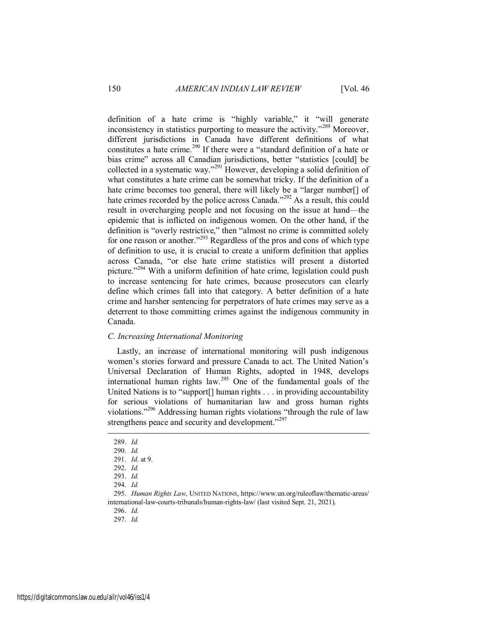definition of a hate crime is "highly variable," it "will generate inconsistency in statistics purporting to measure the activity."<sup>289</sup> Moreover, different jurisdictions in Canada have different definitions of what constitutes a hate crime.<sup>290</sup> If there were a "standard definition of a hate or bias crime" across all Canadian jurisdictions, better "statistics [could] be collected in a systematic way."<sup>291</sup> However, developing a solid definition of what constitutes a hate crime can be somewhat tricky. If the definition of a hate crime becomes too general, there will likely be a "larger number[] of hate crimes recorded by the police across Canada."<sup>292</sup> As a result, this could result in overcharging people and not focusing on the issue at hand—the epidemic that is inflicted on indigenous women. On the other hand, if the definition is "overly restrictive," then "almost no crime is committed solely for one reason or another."<sup>293</sup> Regardless of the pros and cons of which type of definition to use, it is crucial to create a uniform definition that applies across Canada, "or else hate crime statistics will present a distorted picture."<sup>294</sup> With a uniform definition of hate crime, legislation could push to increase sentencing for hate crimes, because prosecutors can clearly define which crimes fall into that category. A better definition of a hate crime and harsher sentencing for perpetrators of hate crimes may serve as a deterrent to those committing crimes against the indigenous community in Canada.

#### *C. Increasing International Monitoring*

Lastly, an increase of international monitoring will push indigenous women's stories forward and pressure Canada to act. The United Nation's Universal Declaration of Human Rights, adopted in 1948, develops international human rights law.<sup>295</sup> One of the fundamental goals of the United Nations is to "support[] human rights . . . in providing accountability for serious violations of humanitarian law and gross human rights violations."<sup>296</sup> Addressing human rights violations "through the rule of law strengthens peace and security and development."<sup>297</sup>

 $\overline{a}$ 

<sup>289.</sup> *Id.*

<sup>290.</sup> *Id.*

<sup>291.</sup> *Id.* at 9.

<sup>292.</sup> *Id.*

<sup>293.</sup> *Id.*

<sup>294.</sup> *Id.*

<sup>295.</sup> *Human Rights Law*, UNITED NATIONS, https://www.un.org/ruleoflaw/thematic-areas/ international-law-courts-tribunals/human-rights-law/ (last visited Sept. 21, 2021).

<sup>297.</sup> *Id.*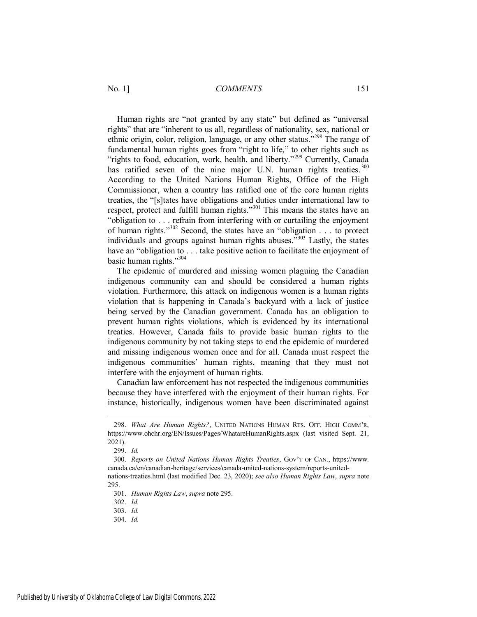Human rights are "not granted by any state" but defined as "universal rights" that are "inherent to us all, regardless of nationality, sex, national or ethnic origin, color, religion, language, or any other status."<sup>298</sup> The range of fundamental human rights goes from "right to life," to other rights such as "rights to food, education, work, health, and liberty."<sup>299</sup> Currently, Canada has ratified seven of the nine major U.N. human rights treaties.<sup>300</sup> According to the United Nations Human Rights, Office of the High Commissioner, when a country has ratified one of the core human rights treaties, the "[s]tates have obligations and duties under international law to respect, protect and fulfill human rights."<sup>301</sup> This means the states have an "obligation to . . . refrain from interfering with or curtailing the enjoyment of human rights."<sup>302</sup> Second, the states have an "obligation . . . to protect individuals and groups against human rights abuses.<sup> $303$ </sup> Lastly, the states have an "obligation to . . . take positive action to facilitate the enjoyment of basic human rights."<sup>304</sup>

The epidemic of murdered and missing women plaguing the Canadian indigenous community can and should be considered a human rights violation. Furthermore, this attack on indigenous women is a human rights violation that is happening in Canada's backyard with a lack of justice being served by the Canadian government. Canada has an obligation to prevent human rights violations, which is evidenced by its international treaties. However, Canada fails to provide basic human rights to the indigenous community by not taking steps to end the epidemic of murdered and missing indigenous women once and for all. Canada must respect the indigenous communities' human rights, meaning that they must not interfere with the enjoyment of human rights.

Canadian law enforcement has not respected the indigenous communities because they have interfered with the enjoyment of their human rights. For instance, historically, indigenous women have been discriminated against

<sup>298.</sup> *What Are Human Rights?*, UNITED NATIONS HUMAN RTS. OFF. HIGH COMM'R, https://www.ohchr.org/EN/Issues/Pages/WhatareHumanRights.aspx (last visited Sept. 21, 2021).

<sup>299.</sup> *Id.*

<sup>300.</sup> *Reports on United Nations Human Rights Treaties*, GOV'T OF CAN., https://www. canada.ca/en/canadian-heritage/services/canada-united-nations-system/reports-unitednations-treaties.html (last modified Dec. 23, 2020); *see also Human Rights Law*, *supra* note 295.

<sup>301.</sup> *Human Rights Law*, *supra* note 295.

<sup>302.</sup> *Id.*

<sup>303.</sup> *Id.*

<sup>304.</sup> *Id.*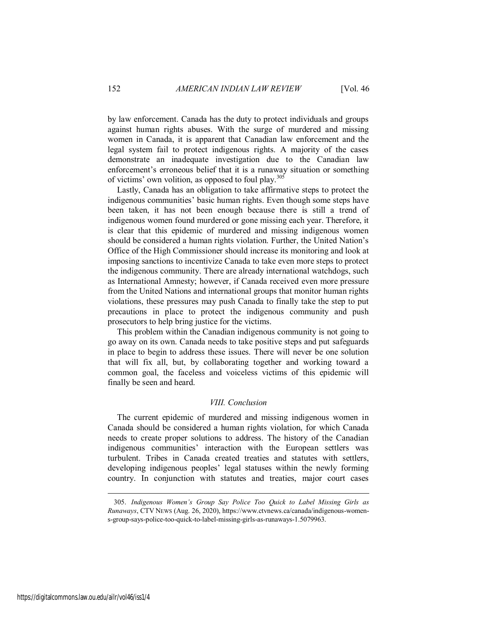by law enforcement. Canada has the duty to protect individuals and groups against human rights abuses. With the surge of murdered and missing women in Canada, it is apparent that Canadian law enforcement and the legal system fail to protect indigenous rights. A majority of the cases demonstrate an inadequate investigation due to the Canadian law enforcement's erroneous belief that it is a runaway situation or something of victims' own volition, as opposed to foul play.<sup>305</sup>

Lastly, Canada has an obligation to take affirmative steps to protect the indigenous communities' basic human rights. Even though some steps have been taken, it has not been enough because there is still a trend of indigenous women found murdered or gone missing each year. Therefore, it is clear that this epidemic of murdered and missing indigenous women should be considered a human rights violation. Further, the United Nation's Office of the High Commissioner should increase its monitoring and look at imposing sanctions to incentivize Canada to take even more steps to protect the indigenous community. There are already international watchdogs, such as International Amnesty; however, if Canada received even more pressure from the United Nations and international groups that monitor human rights violations, these pressures may push Canada to finally take the step to put precautions in place to protect the indigenous community and push prosecutors to help bring justice for the victims.

This problem within the Canadian indigenous community is not going to go away on its own. Canada needs to take positive steps and put safeguards in place to begin to address these issues. There will never be one solution that will fix all, but, by collaborating together and working toward a common goal, the faceless and voiceless victims of this epidemic will finally be seen and heard.

#### *VIII. Conclusion*

The current epidemic of murdered and missing indigenous women in Canada should be considered a human rights violation, for which Canada needs to create proper solutions to address. The history of the Canadian indigenous communities' interaction with the European settlers was turbulent. Tribes in Canada created treaties and statutes with settlers, developing indigenous peoples' legal statuses within the newly forming country. In conjunction with statutes and treaties, major court cases

<sup>305.</sup> *Indigenous Women's Group Say Police Too Quick to Label Missing Girls as Runaways*, CTV NEWS (Aug. 26, 2020), https://www.ctvnews.ca/canada/indigenous-womens-group-says-police-too-quick-to-label-missing-girls-as-runaways-1.5079963.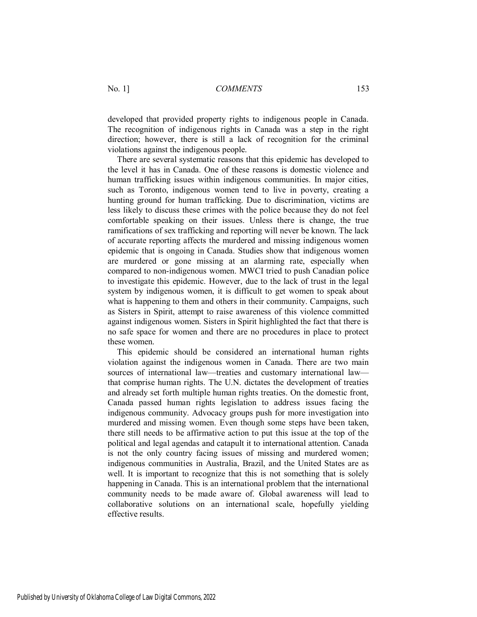developed that provided property rights to indigenous people in Canada. The recognition of indigenous rights in Canada was a step in the right direction; however, there is still a lack of recognition for the criminal violations against the indigenous people.

There are several systematic reasons that this epidemic has developed to the level it has in Canada. One of these reasons is domestic violence and human trafficking issues within indigenous communities. In major cities, such as Toronto, indigenous women tend to live in poverty, creating a hunting ground for human trafficking. Due to discrimination, victims are less likely to discuss these crimes with the police because they do not feel comfortable speaking on their issues. Unless there is change, the true ramifications of sex trafficking and reporting will never be known. The lack of accurate reporting affects the murdered and missing indigenous women epidemic that is ongoing in Canada. Studies show that indigenous women are murdered or gone missing at an alarming rate, especially when compared to non-indigenous women. MWCI tried to push Canadian police to investigate this epidemic. However, due to the lack of trust in the legal system by indigenous women, it is difficult to get women to speak about what is happening to them and others in their community. Campaigns, such as Sisters in Spirit, attempt to raise awareness of this violence committed against indigenous women. Sisters in Spirit highlighted the fact that there is no safe space for women and there are no procedures in place to protect these women.

This epidemic should be considered an international human rights violation against the indigenous women in Canada. There are two main sources of international law—treaties and customary international law that comprise human rights. The U.N. dictates the development of treaties and already set forth multiple human rights treaties. On the domestic front, Canada passed human rights legislation to address issues facing the indigenous community. Advocacy groups push for more investigation into murdered and missing women. Even though some steps have been taken, there still needs to be affirmative action to put this issue at the top of the political and legal agendas and catapult it to international attention. Canada is not the only country facing issues of missing and murdered women; indigenous communities in Australia, Brazil, and the United States are as well. It is important to recognize that this is not something that is solely happening in Canada. This is an international problem that the international community needs to be made aware of. Global awareness will lead to collaborative solutions on an international scale, hopefully yielding effective results.